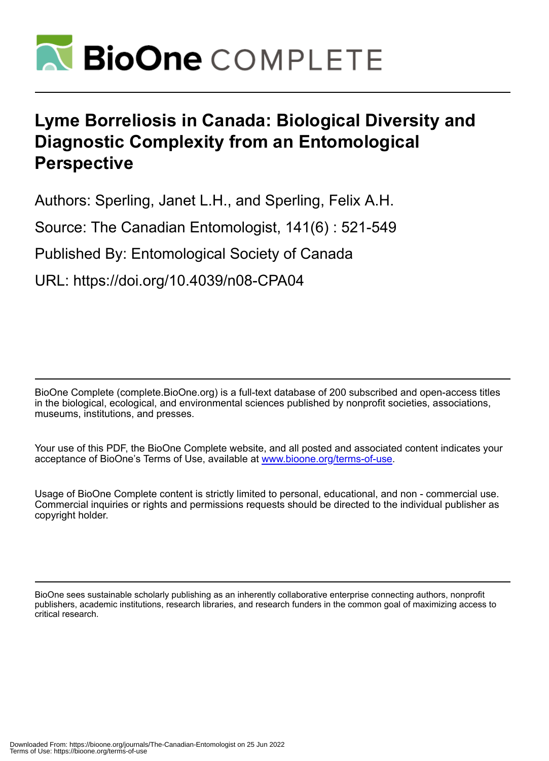

# **Lyme Borreliosis in Canada: Biological Diversity and Diagnostic Complexity from an Entomological Perspective**

Authors: Sperling, Janet L.H., and Sperling, Felix A.H.

Source: The Canadian Entomologist, 141(6) : 521-549

Published By: Entomological Society of Canada

URL: https://doi.org/10.4039/n08-CPA04

BioOne Complete (complete.BioOne.org) is a full-text database of 200 subscribed and open-access titles in the biological, ecological, and environmental sciences published by nonprofit societies, associations, museums, institutions, and presses.

Your use of this PDF, the BioOne Complete website, and all posted and associated content indicates your acceptance of BioOne's Terms of Use, available at www.bioone.org/terms-of-use.

Usage of BioOne Complete content is strictly limited to personal, educational, and non - commercial use. Commercial inquiries or rights and permissions requests should be directed to the individual publisher as copyright holder.

BioOne sees sustainable scholarly publishing as an inherently collaborative enterprise connecting authors, nonprofit publishers, academic institutions, research libraries, and research funders in the common goal of maximizing access to critical research.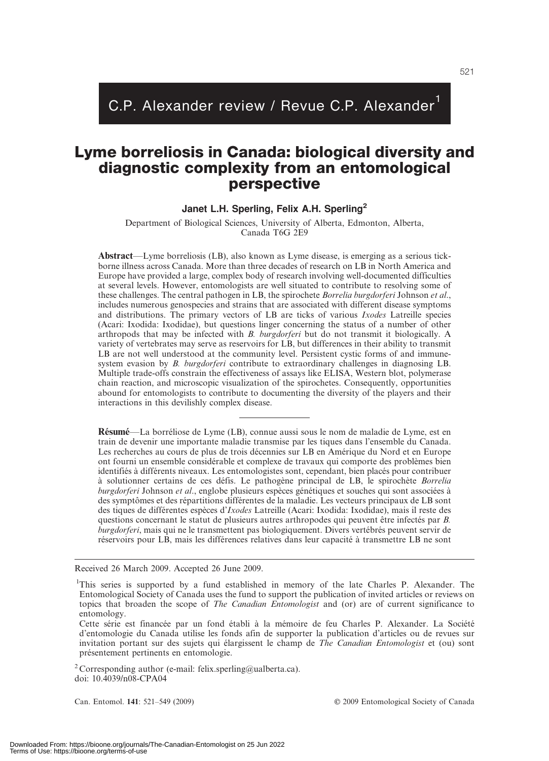# C.P. Alexander review / Revue C.P. Alexander<sup>1</sup>

# Lyme borreliosis in Canada: biological diversity and diagnostic complexity from an entomological perspective

# Janet L.H. Sperling, Felix A.H. Sperling<sup>2</sup>

Department of Biological Sciences, University of Alberta, Edmonton, Alberta, Canada T6G 2E9

Abstract—Lyme borreliosis (LB), also known as Lyme disease, is emerging as a serious tickborne illness across Canada. More than three decades of research on LB in North America and Europe have provided a large, complex body of research involving well-documented difficulties at several levels. However, entomologists are well situated to contribute to resolving some of these challenges. The central pathogen in LB, the spirochete Borrelia burgdorferi Johnson et al., includes numerous genospecies and strains that are associated with different disease symptoms and distributions. The primary vectors of LB are ticks of various Ixodes Latreille species (Acari: Ixodida: Ixodidae), but questions linger concerning the status of a number of other arthropods that may be infected with B. burgdorferi but do not transmit it biologically. A variety of vertebrates may serve as reservoirs for LB, but differences in their ability to transmit LB are not well understood at the community level. Persistent cystic forms of and immunesystem evasion by *B. burgdorferi* contribute to extraordinary challenges in diagnosing LB. Multiple trade-offs constrain the effectiveness of assays like ELISA, Western blot, polymerase chain reaction, and microscopic visualization of the spirochetes. Consequently, opportunities abound for entomologists to contribute to documenting the diversity of the players and their interactions in this devilishly complex disease.

Résumé—La borréliose de Lyme (LB), connue aussi sous le nom de maladie de Lyme, est en train de devenir une importante maladie transmise par les tiques dans l'ensemble du Canada. Les recherches au cours de plus de trois décennies sur LB en Amérique du Nord et en Europe ont fourni un ensemble conside´rable et complexe de travaux qui comporte des proble`mes bien identifiés à différents niveaux. Les entomologistes sont, cependant, bien placés pour contribuer à solutionner certains de ces défis. Le pathogène principal de LB, le spirochète Borrelia burgdorferi Johnson et al., englobe plusieurs espèces génétiques et souches qui sont associées à des symptômes et des répartitions différentes de la maladie. Les vecteurs principaux de LB sont des tiques de différentes espèces d'Ixodes Latreille (Acari: Ixodida: Ixodidae), mais il reste des questions concernant le statut de plusieurs autres arthropodes qui peuvent être infectés par B. burgdorferi, mais qui ne le transmettent pas biologiquement. Divers vertébrés peuvent servir de réservoirs pour LB, mais les différences relatives dans leur capacité à transmettre LB ne sont

Received 26 March 2009. Accepted 26 June 2009.

<sup>2</sup> Corresponding author (e-mail: felix.sperling@ualberta.ca). doi: 10.4039/n08-CPA04

Can. Entomol. 141: 521–549 (2009) Canada Canada Canada Canada Canada Canada Canada Canada Canada Canada Canada

<sup>&</sup>lt;sup>1</sup>This series is supported by a fund established in memory of the late Charles P. Alexander. The Entomological Society of Canada uses the fund to support the publication of invited articles or reviews on topics that broaden the scope of The Canadian Entomologist and (or) are of current significance to entomology.

Cette série est financée par un fond établi à la mémoire de feu Charles P. Alexander. La Société d'entomologie du Canada utilise les fonds afin de supporter la publication d'articles ou de revues sur invitation portant sur des sujets qui élargissent le champ de The Canadian Entomologist et (ou) sont présentement pertinents en entomologie.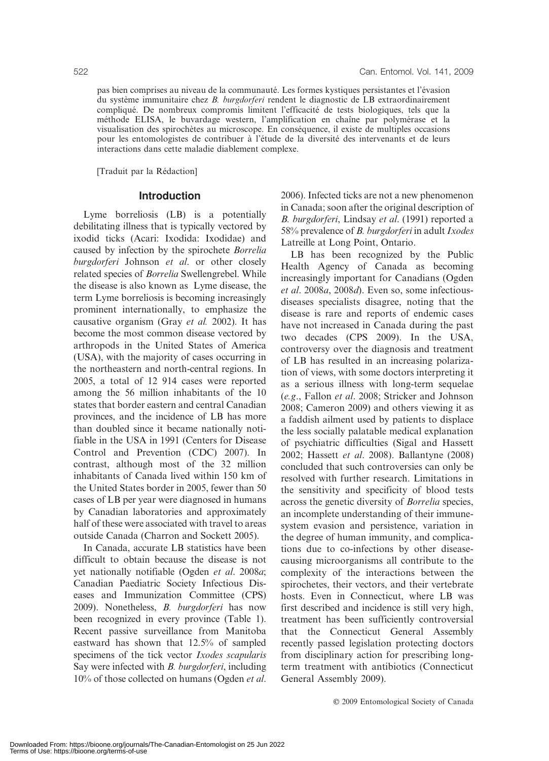pas bien comprises au niveau de la communauté. Les formes kystiques persistantes et l'évasion du système immunitaire chez B. burgdorferi rendent le diagnostic de LB extraordinairement compliqué. De nombreux compromis limitent l'efficacité de tests biologiques, tels que la méthode ELISA, le buvardage western, l'amplification en chaîne par polymérase et la visualisation des spirochètes au microscope. En conséquence, il existe de multiples occasions pour les entomologistes de contribuer à l'étude de la diversité des intervenants et de leurs interactions dans cette maladie diablement complexe.

[Traduit par la Rédaction]

#### Introduction

Lyme borreliosis (LB) is a potentially debilitating illness that is typically vectored by ixodid ticks (Acari: Ixodida: Ixodidae) and caused by infection by the spirochete Borrelia burgdorferi Johnson et al. or other closely related species of Borrelia Swellengrebel. While the disease is also known as Lyme disease, the term Lyme borreliosis is becoming increasingly prominent internationally, to emphasize the causative organism (Gray et al. 2002). It has become the most common disease vectored by arthropods in the United States of America (USA), with the majority of cases occurring in the northeastern and north-central regions. In 2005, a total of 12 914 cases were reported among the 56 million inhabitants of the 10 states that border eastern and central Canadian provinces, and the incidence of LB has more than doubled since it became nationally notifiable in the USA in 1991 (Centers for Disease Control and Prevention (CDC) 2007). In contrast, although most of the 32 million inhabitants of Canada lived within 150 km of the United States border in 2005, fewer than 50 cases of LB per year were diagnosed in humans by Canadian laboratories and approximately half of these were associated with travel to areas outside Canada (Charron and Sockett 2005).

In Canada, accurate LB statistics have been difficult to obtain because the disease is not yet nationally notifiable (Ogden et al. 2008a; Canadian Paediatric Society Infectious Diseases and Immunization Committee (CPS) 2009). Nonetheless, B. burgdorferi has now been recognized in every province (Table 1). Recent passive surveillance from Manitoba eastward has shown that 12.5% of sampled specimens of the tick vector Ixodes scapularis Say were infected with *B. burgdorferi*, including 10% of those collected on humans (Ogden et al. 2006). Infected ticks are not a new phenomenon in Canada; soon after the original description of B. burgdorferi, Lindsay et al. (1991) reported a 58% prevalence of B. burgdorferi in adult Ixodes Latreille at Long Point, Ontario.

LB has been recognized by the Public Health Agency of Canada as becoming increasingly important for Canadians (Ogden et al. 2008a, 2008d). Even so, some infectiousdiseases specialists disagree, noting that the disease is rare and reports of endemic cases have not increased in Canada during the past two decades (CPS 2009). In the USA, controversy over the diagnosis and treatment of LB has resulted in an increasing polarization of views, with some doctors interpreting it as a serious illness with long-term sequelae (e.g., Fallon et al. 2008; Stricker and Johnson 2008; Cameron 2009) and others viewing it as a faddish ailment used by patients to displace the less socially palatable medical explanation of psychiatric difficulties (Sigal and Hassett 2002; Hassett et al. 2008). Ballantyne (2008) concluded that such controversies can only be resolved with further research. Limitations in the sensitivity and specificity of blood tests across the genetic diversity of Borrelia species, an incomplete understanding of their immunesystem evasion and persistence, variation in the degree of human immunity, and complications due to co-infections by other diseasecausing microorganisms all contribute to the complexity of the interactions between the spirochetes, their vectors, and their vertebrate hosts. Even in Connecticut, where LB was first described and incidence is still very high, treatment has been sufficiently controversial that the Connecticut General Assembly recently passed legislation protecting doctors from disciplinary action for prescribing longterm treatment with antibiotics (Connecticut General Assembly 2009).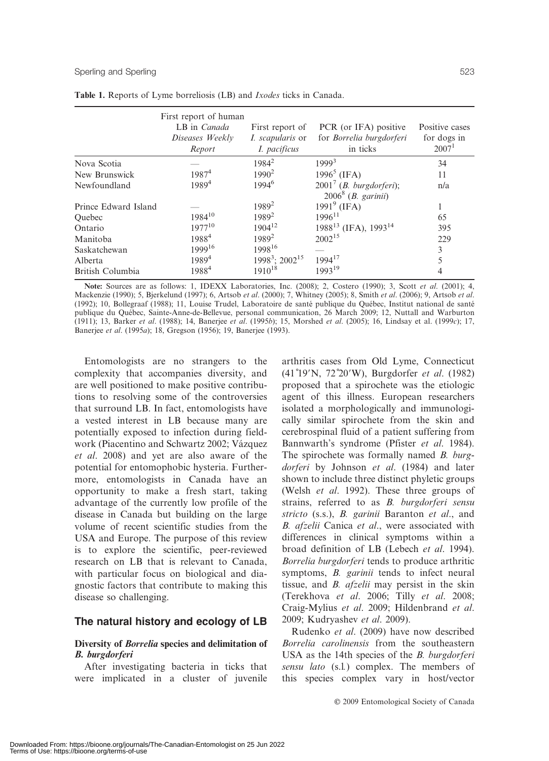|                      | First report of human<br>LB in Canada<br>Diseases Weekly<br>Report | First report of<br><i>I. scapularis</i> or<br>I. pacificus | PCR (or IFA) positive<br>for Borrelia burgdorferi<br>in ticks       | Positive cases<br>for dogs in<br>2007 <sup>1</sup> |
|----------------------|--------------------------------------------------------------------|------------------------------------------------------------|---------------------------------------------------------------------|----------------------------------------------------|
| Nova Scotia          |                                                                    | $1984^2$                                                   | 1999 <sup>3</sup>                                                   | 34                                                 |
| New Brunswick        | $1987^4$                                                           | $1990^2$                                                   | 1996 <sup>5</sup> (IFA)                                             | 11                                                 |
| Newfoundland         | $1989^{4}$                                                         | $1994^6$                                                   | $20017$ ( <i>B. burgdorferi</i> );<br>$20068$ ( <i>B. garinii</i> ) | n/a                                                |
| Prince Edward Island |                                                                    | 1989 <sup>2</sup>                                          | $19919$ (IFA)                                                       |                                                    |
| Ouebec               | $1984^{10}$                                                        | 1989 <sup>2</sup>                                          | $1996^{11}$                                                         | 65                                                 |
| Ontario              | $1977^{10}$                                                        | $1904^{12}$                                                | $1988^{13}$ (IFA), $1993^{14}$                                      | 395                                                |
| Manitoba             | 1988 <sup>4</sup>                                                  | 1989 <sup>2</sup>                                          | $2002^{15}$                                                         | 229                                                |
| Saskatchewan         | 199916                                                             | 199816                                                     |                                                                     | 3                                                  |
| Alberta              | 1989 <sup>4</sup>                                                  | $1998^3$ ; $2002^{15}$                                     | $1994^{17}$                                                         | 5                                                  |
| British Columbia     | 19884                                                              | $1910^{18}$                                                | $1993^{19}$                                                         | 4                                                  |

Table 1. Reports of Lyme borreliosis (LB) and Ixodes ticks in Canada.

Note: Sources are as follows: 1, IDEXX Laboratories, Inc. (2008); 2, Costero (1990); 3, Scott et al. (2001); 4, Mackenzie (1990); 5, Bjerkelund (1997); 6, Artsob et al. (2000); 7, Whitney (2005); 8, Smith et al. (2006); 9, Artsob et al. (1992); 10, Bollegraaf (1988); 11, Louise Trudel, Laboratoire de santé publique du Québec, Institut national de santé publique du Québec, Sainte-Anne-de-Bellevue, personal communication, 26 March 2009; 12, Nuttall and Warburton (1911); 13, Barker et al. (1988); 14, Banerjee et al. (1995b); 15, Morshed et al. (2005); 16, Lindsay et al. (1999c); 17, Banerjee et al. (1995a); 18, Gregson (1956); 19, Banerjee (1993).

Entomologists are no strangers to the complexity that accompanies diversity, and are well positioned to make positive contributions to resolving some of the controversies that surround LB. In fact, entomologists have a vested interest in LB because many are potentially exposed to infection during fieldwork (Piacentino and Schwartz 2002; Vázquez et al. 2008) and yet are also aware of the potential for entomophobic hysteria. Furthermore, entomologists in Canada have an opportunity to make a fresh start, taking advantage of the currently low profile of the disease in Canada but building on the large volume of recent scientific studies from the USA and Europe. The purpose of this review is to explore the scientific, peer-reviewed research on LB that is relevant to Canada, with particular focus on biological and diagnostic factors that contribute to making this disease so challenging.

# The natural history and ecology of LB

#### Diversity of Borrelia species and delimitation of B. burgdorferi

After investigating bacteria in ticks that were implicated in a cluster of juvenile

arthritis cases from Old Lyme, Connecticut (41°19'N, 72°20'W), Burgdorfer et al. (1982) proposed that a spirochete was the etiologic agent of this illness. European researchers isolated a morphologically and immunologically similar spirochete from the skin and cerebrospinal fluid of a patient suffering from Bannwarth's syndrome (Pfister et al. 1984). The spirochete was formally named B. burgdorferi by Johnson et al. (1984) and later shown to include three distinct phyletic groups (Welsh et al. 1992). These three groups of strains, referred to as *B. burgdorferi sensu* stricto (s.s.), B. garinii Baranton et al., and B. afzelii Canica et al., were associated with differences in clinical symptoms within a broad definition of LB (Lebech et al. 1994). Borrelia burgdorferi tends to produce arthritic symptoms, B. garinii tends to infect neural tissue, and B. afzelii may persist in the skin (Terekhova et al. 2006; Tilly et al. 2008; Craig-Mylius et al. 2009; Hildenbrand et al. 2009; Kudryashev et al. 2009).

Rudenko et al. (2009) have now described Borrelia carolinensis from the southeastern USA as the 14th species of the B. burgdorferi sensu lato (s.l.) complex. The members of this species complex vary in host/vector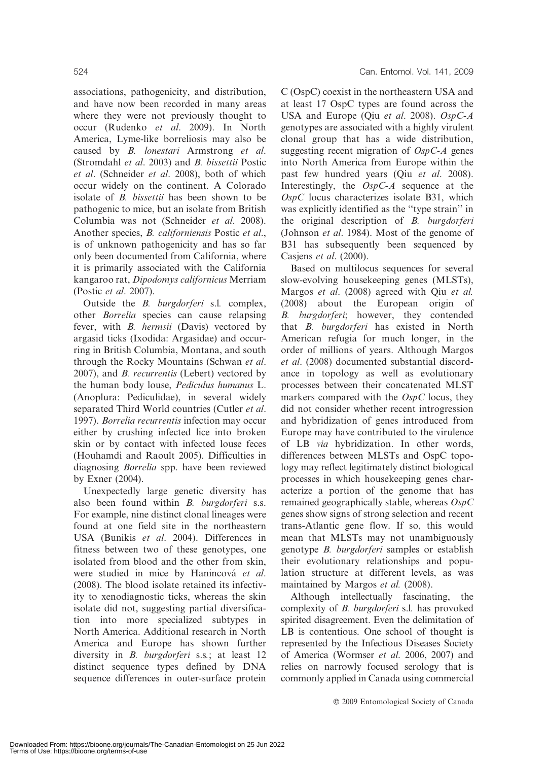associations, pathogenicity, and distribution, and have now been recorded in many areas where they were not previously thought to occur (Rudenko et al. 2009). In North America, Lyme-like borreliosis may also be caused by B. lonestari Armstrong et al. (Stromdahl et al. 2003) and B. bissettii Postic et al. (Schneider et al. 2008), both of which occur widely on the continent. A Colorado isolate of B. bissettii has been shown to be pathogenic to mice, but an isolate from British Columbia was not (Schneider et al. 2008). Another species, B. californiensis Postic et al., is of unknown pathogenicity and has so far only been documented from California, where it is primarily associated with the California kangaroo rat, Dipodomys californicus Merriam (Postic et al. 2007).

Outside the B. burgdorferi s.l. complex, other Borrelia species can cause relapsing fever, with *B. hermsii* (Davis) vectored by argasid ticks (Ixodida: Argasidae) and occurring in British Columbia, Montana, and south through the Rocky Mountains (Schwan et al. 2007), and B. recurrentis (Lebert) vectored by the human body louse, Pediculus humanus L. (Anoplura: Pediculidae), in several widely separated Third World countries (Cutler et al. 1997). Borrelia recurrentis infection may occur either by crushing infected lice into broken skin or by contact with infected louse feces (Houhamdi and Raoult 2005). Difficulties in diagnosing Borrelia spp. have been reviewed by Exner (2004).

Unexpectedly large genetic diversity has also been found within B. burgdorferi s.s. For example, nine distinct clonal lineages were found at one field site in the northeastern USA (Bunikis et al. 2004). Differences in fitness between two of these genotypes, one isolated from blood and the other from skin, were studied in mice by Hanincová et al. (2008). The blood isolate retained its infectivity to xenodiagnostic ticks, whereas the skin isolate did not, suggesting partial diversification into more specialized subtypes in North America. Additional research in North America and Europe has shown further diversity in *B. burgdorferi* s.s.; at least 12 distinct sequence types defined by DNA sequence differences in outer-surface protein C (OspC) coexist in the northeastern USA and at least 17 OspC types are found across the USA and Europe (Qiu et al. 2008). OspC-A genotypes are associated with a highly virulent clonal group that has a wide distribution, suggesting recent migration of  $OspC-A$  genes into North America from Europe within the past few hundred years (Qiu et al. 2008). Interestingly, the  $OspC-A$  sequence at the  $O<sub>SP</sub>C$  locus characterizes isolate B31, which was explicitly identified as the ''type strain'' in the original description of B. burgdorferi (Johnson et al. 1984). Most of the genome of B31 has subsequently been sequenced by Casiens et al. (2000).

Based on multilocus sequences for several slow-evolving housekeeping genes (MLSTs), Margos et al. (2008) agreed with Qiu et al. (2008) about the European origin of B. burgdorferi; however, they contended that B. burgdorferi has existed in North American refugia for much longer, in the order of millions of years. Although Margos et al. (2008) documented substantial discordance in topology as well as evolutionary processes between their concatenated MLST markers compared with the  $OspC$  locus, they did not consider whether recent introgression and hybridization of genes introduced from Europe may have contributed to the virulence of LB via hybridization. In other words, differences between MLSTs and OspC topology may reflect legitimately distinct biological processes in which housekeeping genes characterize a portion of the genome that has remained geographically stable, whereas OspC genes show signs of strong selection and recent trans-Atlantic gene flow. If so, this would mean that MLSTs may not unambiguously genotype B. burgdorferi samples or establish their evolutionary relationships and population structure at different levels, as was maintained by Margos et al. (2008).

Although intellectually fascinating, the complexity of B. burgdorferi s.l. has provoked spirited disagreement. Even the delimitation of LB is contentious. One school of thought is represented by the Infectious Diseases Society of America (Wormser et al. 2006, 2007) and relies on narrowly focused serology that is commonly applied in Canada using commercial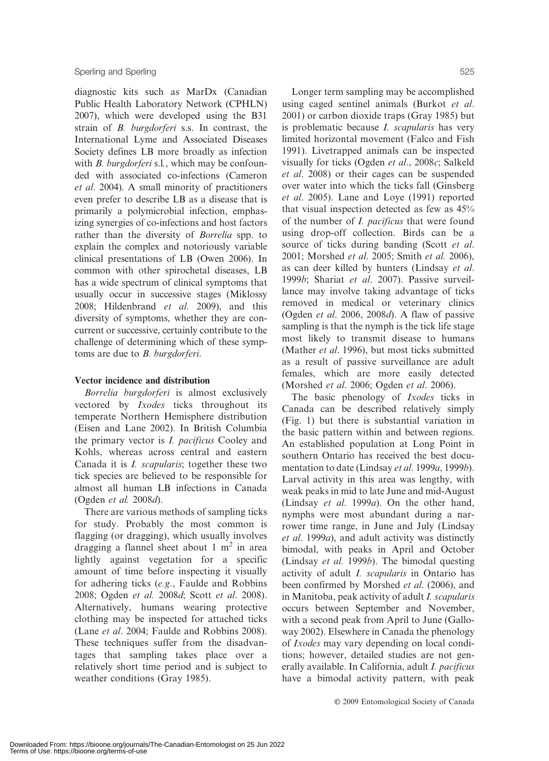diagnostic kits such as MarDx (Canadian Public Health Laboratory Network (CPHLN) 2007), which were developed using the B31 strain of B. burgdorferi s.s. In contrast, the International Lyme and Associated Diseases Society defines LB more broadly as infection with *B. burgdorferi* s.l., which may be confounded with associated co-infections (Cameron et al. 2004). A small minority of practitioners even prefer to describe LB as a disease that is primarily a polymicrobial infection, emphasizing synergies of co-infections and host factors rather than the diversity of Borrelia spp. to explain the complex and notoriously variable clinical presentations of LB (Owen 2006). In common with other spirochetal diseases, LB has a wide spectrum of clinical symptoms that usually occur in successive stages (Miklossy 2008; Hildenbrand et al. 2009), and this diversity of symptoms, whether they are concurrent or successive, certainly contribute to the challenge of determining which of these symptoms are due to B. burgdorferi.

#### Vector incidence and distribution

Borrelia burgdorferi is almost exclusively vectored by Ixodes ticks throughout its temperate Northern Hemisphere distribution (Eisen and Lane 2002). In British Columbia the primary vector is I. pacificus Cooley and Kohls, whereas across central and eastern Canada it is I. scapularis; together these two tick species are believed to be responsible for almost all human LB infections in Canada (Ogden et al. 2008d).

There are various methods of sampling ticks for study. Probably the most common is flagging (or dragging), which usually involves dragging a flannel sheet about  $1 \text{ m}^2$  in area lightly against vegetation for a specific amount of time before inspecting it visually for adhering ticks (e.g., Faulde and Robbins 2008; Ogden et al. 2008d; Scott et al. 2008). Alternatively, humans wearing protective clothing may be inspected for attached ticks (Lane et al. 2004; Faulde and Robbins 2008). These techniques suffer from the disadvantages that sampling takes place over a relatively short time period and is subject to weather conditions (Gray 1985).

Longer term sampling may be accomplished using caged sentinel animals (Burkot et al. 2001) or carbon dioxide traps (Gray 1985) but is problematic because I. scapularis has very limited horizontal movement (Falco and Fish 1991). Livetrapped animals can be inspected visually for ticks (Ogden et al., 2008c; Salkeld et al. 2008) or their cages can be suspended over water into which the ticks fall (Ginsberg et al. 2005). Lane and Loye (1991) reported that visual inspection detected as few as 45% of the number of I. pacificus that were found using drop-off collection. Birds can be a source of ticks during banding (Scott et al. 2001; Morshed et al. 2005; Smith et al. 2006), as can deer killed by hunters (Lindsay et al. 1999b; Shariat et al. 2007). Passive surveillance may involve taking advantage of ticks removed in medical or veterinary clinics (Ogden et al. 2006, 2008d). A flaw of passive sampling is that the nymph is the tick life stage most likely to transmit disease to humans (Mather et al. 1996), but most ticks submitted as a result of passive surveillance are adult females, which are more easily detected (Morshed et al. 2006; Ogden et al. 2006).

The basic phenology of *Ixodes* ticks in Canada can be described relatively simply (Fig. 1) but there is substantial variation in the basic pattern within and between regions. An established population at Long Point in southern Ontario has received the best documentation to date (Lindsay et al. 1999a, 1999b). Larval activity in this area was lengthy, with weak peaks in mid to late June and mid-August (Lindsay et al. 1999a). On the other hand, nymphs were most abundant during a narrower time range, in June and July (Lindsay et al. 1999a), and adult activity was distinctly bimodal, with peaks in April and October (Lindsay *et al.* 1999 $b$ ). The bimodal questing activity of adult I. scapularis in Ontario has been confirmed by Morshed *et al.* (2006), and in Manitoba, peak activity of adult I. scapularis occurs between September and November, with a second peak from April to June (Galloway 2002). Elsewhere in Canada the phenology of Ixodes may vary depending on local conditions; however, detailed studies are not generally available. In California, adult I. pacificus have a bimodal activity pattern, with peak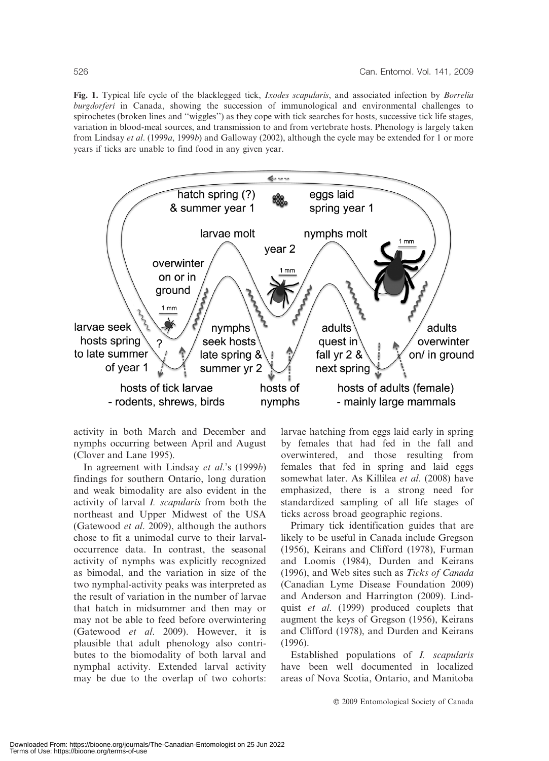Fig. 1. Typical life cycle of the blacklegged tick, *Ixodes scapularis*, and associated infection by *Borrelia* burgdorferi in Canada, showing the succession of immunological and environmental challenges to spirochetes (broken lines and ''wiggles'') as they cope with tick searches for hosts, successive tick life stages, variation in blood-meal sources, and transmission to and from vertebrate hosts. Phenology is largely taken from Lindsay et al. (1999a, 1999b) and Galloway (2002), although the cycle may be extended for 1 or more years if ticks are unable to find food in any given year.



activity in both March and December and nymphs occurring between April and August (Clover and Lane 1995).

In agreement with Lindsay et al.'s (1999b) findings for southern Ontario, long duration and weak bimodality are also evident in the activity of larval I. scapularis from both the northeast and Upper Midwest of the USA (Gatewood et al. 2009), although the authors chose to fit a unimodal curve to their larvaloccurrence data. In contrast, the seasonal activity of nymphs was explicitly recognized as bimodal, and the variation in size of the two nymphal-activity peaks was interpreted as the result of variation in the number of larvae that hatch in midsummer and then may or may not be able to feed before overwintering (Gatewood et al. 2009). However, it is plausible that adult phenology also contributes to the biomodality of both larval and nymphal activity. Extended larval activity may be due to the overlap of two cohorts: larvae hatching from eggs laid early in spring by females that had fed in the fall and overwintered, and those resulting from females that fed in spring and laid eggs somewhat later. As Killilea et al. (2008) have emphasized, there is a strong need for standardized sampling of all life stages of ticks across broad geographic regions.

Primary tick identification guides that are likely to be useful in Canada include Gregson (1956), Keirans and Clifford (1978), Furman and Loomis (1984), Durden and Keirans (1996), and Web sites such as Ticks of Canada (Canadian Lyme Disease Foundation 2009) and Anderson and Harrington (2009). Lindquist et al. (1999) produced couplets that augment the keys of Gregson (1956), Keirans and Clifford (1978), and Durden and Keirans (1996).

Established populations of I. scapularis have been well documented in localized areas of Nova Scotia, Ontario, and Manitoba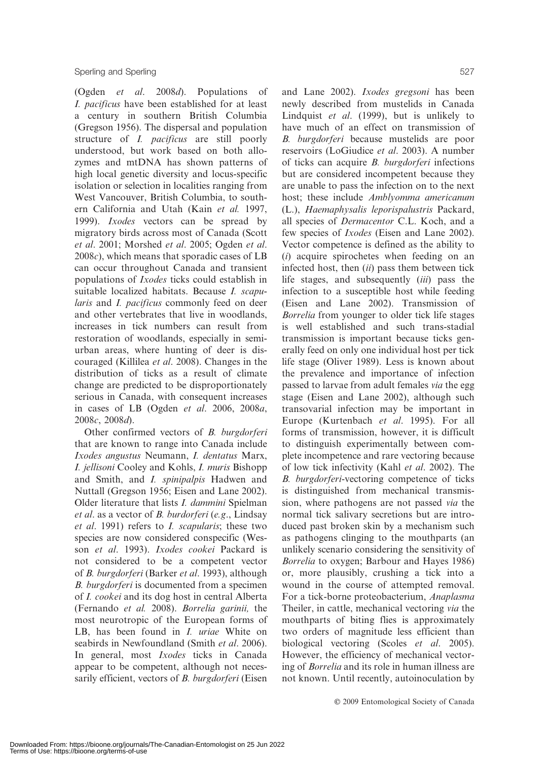(Ogden et al. 2008d). Populations of I. pacificus have been established for at least a century in southern British Columbia (Gregson 1956). The dispersal and population structure of *I. pacificus* are still poorly understood, but work based on both allozymes and mtDNA has shown patterns of high local genetic diversity and locus-specific isolation or selection in localities ranging from West Vancouver, British Columbia, to southern California and Utah (Kain et al. 1997, 1999). Ixodes vectors can be spread by migratory birds across most of Canada (Scott et al. 2001; Morshed et al. 2005; Ogden et al.  $2008c$ , which means that sporadic cases of LB can occur throughout Canada and transient populations of Ixodes ticks could establish in suitable localized habitats. Because I. scapularis and I. pacificus commonly feed on deer and other vertebrates that live in woodlands, increases in tick numbers can result from restoration of woodlands, especially in semiurban areas, where hunting of deer is discouraged (Killilea et al. 2008). Changes in the distribution of ticks as a result of climate change are predicted to be disproportionately serious in Canada, with consequent increases in cases of LB (Ogden et al. 2006, 2008a, 2008c, 2008d).

Other confirmed vectors of B. burgdorferi that are known to range into Canada include Ixodes angustus Neumann, I. dentatus Marx, I. jellisoni Cooley and Kohls, I. muris Bishopp and Smith, and I. spinipalpis Hadwen and Nuttall (Gregson 1956; Eisen and Lane 2002). Older literature that lists I. dammini Spielman et al. as a vector of B. burdorferi (e.g., Lindsay et al. 1991) refers to I. scapularis; these two species are now considered conspecific (Wesson et al. 1993). Ixodes cookei Packard is not considered to be a competent vector of B. burgdorferi (Barker et al. 1993), although B. burgdorferi is documented from a specimen of I. cookei and its dog host in central Alberta (Fernando et al. 2008). Borrelia garinii, the most neurotropic of the European forms of LB, has been found in *I. uriae* White on seabirds in Newfoundland (Smith et al. 2006). In general, most Ixodes ticks in Canada appear to be competent, although not necessarily efficient, vectors of *B. burgdorferi* (Eisen

and Lane 2002). Ixodes gregsoni has been newly described from mustelids in Canada Lindquist et al. (1999), but is unlikely to have much of an effect on transmission of B. burgdorferi because mustelids are poor reservoirs (LoGiudice et al. 2003). A number of ticks can acquire B. burgdorferi infections but are considered incompetent because they are unable to pass the infection on to the next host; these include Amblyomma americanum (L.), Haemaphysalis leporispalustris Packard, all species of Dermacentor C.L. Koch, and a few species of Ixodes (Eisen and Lane 2002). Vector competence is defined as the ability to (i) acquire spirochetes when feeding on an infected host, then  $(ii)$  pass them between tick life stages, and subsequently *(iii)* pass the infection to a susceptible host while feeding (Eisen and Lane 2002). Transmission of Borrelia from younger to older tick life stages is well established and such trans-stadial transmission is important because ticks generally feed on only one individual host per tick life stage (Oliver 1989). Less is known about the prevalence and importance of infection passed to larvae from adult females via the egg stage (Eisen and Lane 2002), although such transovarial infection may be important in Europe (Kurtenbach et al. 1995). For all forms of transmission, however, it is difficult to distinguish experimentally between complete incompetence and rare vectoring because of low tick infectivity (Kahl et al. 2002). The B. burgdorferi-vectoring competence of ticks is distinguished from mechanical transmission, where pathogens are not passed via the normal tick salivary secretions but are introduced past broken skin by a mechanism such

as pathogens clinging to the mouthparts (an unlikely scenario considering the sensitivity of Borrelia to oxygen; Barbour and Hayes 1986) or, more plausibly, crushing a tick into a wound in the course of attempted removal. For a tick-borne proteobacterium, Anaplasma Theiler, in cattle, mechanical vectoring via the mouthparts of biting flies is approximately two orders of magnitude less efficient than biological vectoring (Scoles et al. 2005). However, the efficiency of mechanical vectoring of Borrelia and its role in human illness are not known. Until recently, autoinoculation by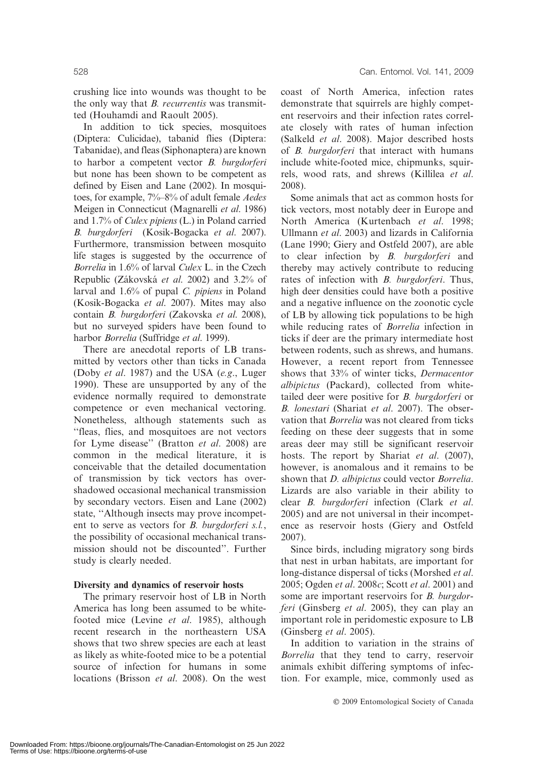crushing lice into wounds was thought to be the only way that B. recurrentis was transmitted (Houhamdi and Raoult 2005).

In addition to tick species, mosquitoes (Diptera: Culicidae), tabanid flies (Diptera: Tabanidae), and fleas (Siphonaptera) are known to harbor a competent vector B. burgdorferi but none has been shown to be competent as defined by Eisen and Lane (2002). In mosquitoes, for example, 7%–8% of adult female Aedes Meigen in Connecticut (Magnarelli et al. 1986) and 1.7% of Culex pipiens (L.) in Poland carried B. burgdorferi (Kosik-Bogacka et al. 2007). Furthermore, transmission between mosquito life stages is suggested by the occurrence of Borrelia in 1.6% of larval Culex L. in the Czech Republic (Zákovská et al. 2002) and 3.2% of larval and 1.6% of pupal C. pipiens in Poland (Kosik-Bogacka et al. 2007). Mites may also contain B. burgdorferi (Zakovska et al. 2008), but no surveyed spiders have been found to harbor Borrelia (Suffridge et al. 1999).

There are anecdotal reports of LB transmitted by vectors other than ticks in Canada (Doby et al. 1987) and the USA (e.g., Luger 1990). These are unsupported by any of the evidence normally required to demonstrate competence or even mechanical vectoring. Nonetheless, although statements such as ''fleas, flies, and mosquitoes are not vectors for Lyme disease'' (Bratton et al. 2008) are common in the medical literature, it is conceivable that the detailed documentation of transmission by tick vectors has overshadowed occasional mechanical transmission by secondary vectors. Eisen and Lane (2002) state, ''Although insects may prove incompetent to serve as vectors for B. burgdorferi s.l., the possibility of occasional mechanical transmission should not be discounted''. Further study is clearly needed.

# Diversity and dynamics of reservoir hosts

The primary reservoir host of LB in North America has long been assumed to be whitefooted mice (Levine et al. 1985), although recent research in the northeastern USA shows that two shrew species are each at least as likely as white-footed mice to be a potential source of infection for humans in some locations (Brisson et al. 2008). On the west coast of North America, infection rates demonstrate that squirrels are highly competent reservoirs and their infection rates correlate closely with rates of human infection (Salkeld et al. 2008). Major described hosts of B. burgdorferi that interact with humans include white-footed mice, chipmunks, squirrels, wood rats, and shrews (Killilea et al. 2008).

Some animals that act as common hosts for tick vectors, most notably deer in Europe and North America (Kurtenbach et al. 1998; Ullmann et al. 2003) and lizards in California (Lane 1990; Giery and Ostfeld 2007), are able to clear infection by B. burgdorferi and thereby may actively contribute to reducing rates of infection with *B. burgdorferi*. Thus, high deer densities could have both a positive and a negative influence on the zoonotic cycle of LB by allowing tick populations to be high while reducing rates of *Borrelia* infection in ticks if deer are the primary intermediate host between rodents, such as shrews, and humans. However, a recent report from Tennessee shows that 33% of winter ticks, Dermacentor albipictus (Packard), collected from whitetailed deer were positive for B. burgdorferi or B. lonestari (Shariat et al. 2007). The observation that *Borrelia* was not cleared from ticks feeding on these deer suggests that in some areas deer may still be significant reservoir hosts. The report by Shariat *et al.* (2007), however, is anomalous and it remains to be shown that *D. albipictus* could vector *Borrelia*. Lizards are also variable in their ability to clear B. burgdorferi infection (Clark et al. 2005) and are not universal in their incompetence as reservoir hosts (Giery and Ostfeld 2007).

Since birds, including migratory song birds that nest in urban habitats, are important for long-distance dispersal of ticks (Morshed et al. 2005; Ogden et al. 2008c; Scott et al. 2001) and some are important reservoirs for *B. burgdor*feri (Ginsberg et al. 2005), they can play an important role in peridomestic exposure to LB (Ginsberg et al. 2005).

In addition to variation in the strains of Borrelia that they tend to carry, reservoir animals exhibit differing symptoms of infection. For example, mice, commonly used as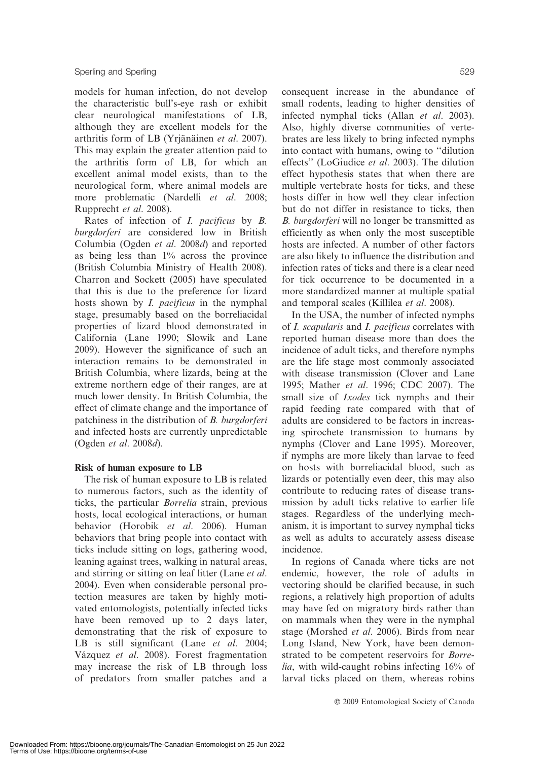models for human infection, do not develop the characteristic bull's-eye rash or exhibit clear neurological manifestations of LB, although they are excellent models for the arthritis form of LB (Yrjänäinen et al. 2007). This may explain the greater attention paid to the arthritis form of LB, for which an excellent animal model exists, than to the neurological form, where animal models are more problematic (Nardelli et al. 2008; Rupprecht et al. 2008).

Rates of infection of *I. pacificus* by *B.* burgdorferi are considered low in British Columbia (Ogden et al. 2008d) and reported as being less than 1% across the province (British Columbia Ministry of Health 2008). Charron and Sockett (2005) have speculated that this is due to the preference for lizard hosts shown by *I. pacificus* in the nymphal stage, presumably based on the borreliacidal properties of lizard blood demonstrated in California (Lane 1990; Slowik and Lane 2009). However the significance of such an interaction remains to be demonstrated in British Columbia, where lizards, being at the extreme northern edge of their ranges, are at much lower density. In British Columbia, the effect of climate change and the importance of patchiness in the distribution of B. burgdorferi and infected hosts are currently unpredictable (Ogden et al. 2008d).

# Risk of human exposure to LB

The risk of human exposure to LB is related to numerous factors, such as the identity of ticks, the particular Borrelia strain, previous hosts, local ecological interactions, or human behavior (Horobik et al. 2006). Human behaviors that bring people into contact with ticks include sitting on logs, gathering wood, leaning against trees, walking in natural areas, and stirring or sitting on leaf litter (Lane et al. 2004). Even when considerable personal protection measures are taken by highly motivated entomologists, potentially infected ticks have been removed up to 2 days later, demonstrating that the risk of exposure to LB is still significant (Lane et al. 2004; Vázquez et al. 2008). Forest fragmentation may increase the risk of LB through loss of predators from smaller patches and a

consequent increase in the abundance of small rodents, leading to higher densities of infected nymphal ticks (Allan et al. 2003). Also, highly diverse communities of vertebrates are less likely to bring infected nymphs into contact with humans, owing to ''dilution effects'' (LoGiudice et al. 2003). The dilution effect hypothesis states that when there are multiple vertebrate hosts for ticks, and these hosts differ in how well they clear infection but do not differ in resistance to ticks, then B. burgdorferi will no longer be transmitted as efficiently as when only the most susceptible hosts are infected. A number of other factors are also likely to influence the distribution and infection rates of ticks and there is a clear need for tick occurrence to be documented in a more standardized manner at multiple spatial and temporal scales (Killilea et al. 2008).

In the USA, the number of infected nymphs of I. scapularis and I. pacificus correlates with reported human disease more than does the incidence of adult ticks, and therefore nymphs are the life stage most commonly associated with disease transmission (Clover and Lane 1995; Mather et al. 1996; CDC 2007). The small size of *Ixodes* tick nymphs and their rapid feeding rate compared with that of adults are considered to be factors in increasing spirochete transmission to humans by nymphs (Clover and Lane 1995). Moreover, if nymphs are more likely than larvae to feed on hosts with borreliacidal blood, such as lizards or potentially even deer, this may also contribute to reducing rates of disease transmission by adult ticks relative to earlier life stages. Regardless of the underlying mechanism, it is important to survey nymphal ticks as well as adults to accurately assess disease incidence.

In regions of Canada where ticks are not endemic, however, the role of adults in vectoring should be clarified because, in such regions, a relatively high proportion of adults may have fed on migratory birds rather than on mammals when they were in the nymphal stage (Morshed et al. 2006). Birds from near Long Island, New York, have been demonstrated to be competent reservoirs for Borrelia, with wild-caught robins infecting 16% of larval ticks placed on them, whereas robins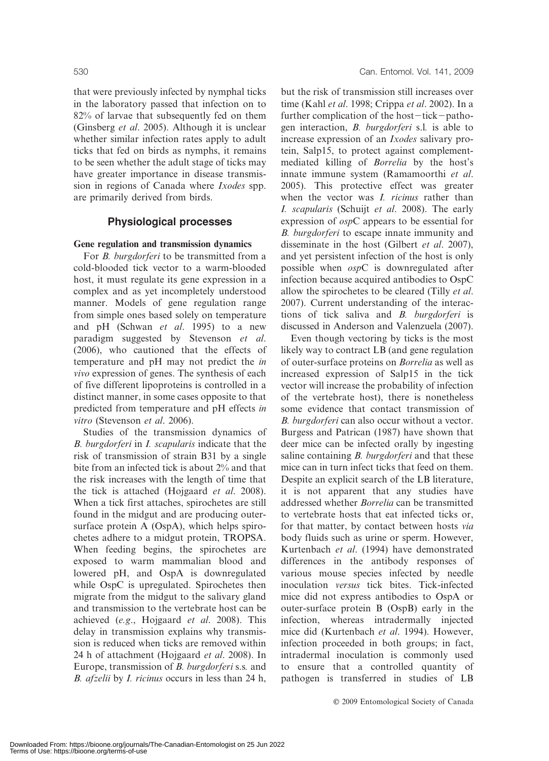that were previously infected by nymphal ticks in the laboratory passed that infection on to 82% of larvae that subsequently fed on them (Ginsberg et al. 2005). Although it is unclear whether similar infection rates apply to adult ticks that fed on birds as nymphs, it remains to be seen whether the adult stage of ticks may have greater importance in disease transmission in regions of Canada where Ixodes spp. are primarily derived from birds.

#### Physiological processes

#### Gene regulation and transmission dynamics

For *B. burgdorferi* to be transmitted from a cold-blooded tick vector to a warm-blooded host, it must regulate its gene expression in a complex and as yet incompletely understood manner. Models of gene regulation range from simple ones based solely on temperature and pH (Schwan et al. 1995) to a new paradigm suggested by Stevenson et al. (2006), who cautioned that the effects of temperature and pH may not predict the in vivo expression of genes. The synthesis of each of five different lipoproteins is controlled in a distinct manner, in some cases opposite to that predicted from temperature and pH effects in vitro (Stevenson et al. 2006).

Studies of the transmission dynamics of B. burgdorferi in I. scapularis indicate that the risk of transmission of strain B31 by a single bite from an infected tick is about 2% and that the risk increases with the length of time that the tick is attached (Hojgaard et al. 2008). When a tick first attaches, spirochetes are still found in the midgut and are producing outersurface protein A (OspA), which helps spirochetes adhere to a midgut protein, TROPSA. When feeding begins, the spirochetes are exposed to warm mammalian blood and lowered pH, and OspA is downregulated while OspC is upregulated. Spirochetes then migrate from the midgut to the salivary gland and transmission to the vertebrate host can be achieved (e.g., Hojgaard et al. 2008). This delay in transmission explains why transmission is reduced when ticks are removed within 24 h of attachment (Hojgaard et al. 2008). In Europe, transmission of B. burgdorferi s.s. and B. afzelii by I. ricinus occurs in less than 24 h,

but the risk of transmission still increases over time (Kahl et al. 1998; Crippa et al. 2002). In a further complication of the host $-\text{tick}-\text{patho}$ gen interaction, B. burgdorferi s.l. is able to increase expression of an Ixodes salivary protein, Salp15, to protect against complementmediated killing of Borrelia by the host's innate immune system (Ramamoorthi et al. 2005). This protective effect was greater when the vector was *I. ricinus* rather than I. scapularis (Schuijt et al. 2008). The early expression of ospC appears to be essential for B. burgdorferi to escape innate immunity and disseminate in the host (Gilbert et al. 2007), and yet persistent infection of the host is only possible when ospC is downregulated after infection because acquired antibodies to OspC allow the spirochetes to be cleared (Tilly et al. 2007). Current understanding of the interactions of tick saliva and B. burgdorferi is discussed in Anderson and Valenzuela (2007).

Even though vectoring by ticks is the most likely way to contract LB (and gene regulation of outer-surface proteins on Borrelia as well as increased expression of Salp15 in the tick vector will increase the probability of infection of the vertebrate host), there is nonetheless some evidence that contact transmission of B. burgdorferi can also occur without a vector. Burgess and Patrican (1987) have shown that deer mice can be infected orally by ingesting saline containing *B. burgdorferi* and that these mice can in turn infect ticks that feed on them. Despite an explicit search of the LB literature, it is not apparent that any studies have addressed whether Borrelia can be transmitted to vertebrate hosts that eat infected ticks or, for that matter, by contact between hosts via body fluids such as urine or sperm. However, Kurtenbach et al. (1994) have demonstrated differences in the antibody responses of various mouse species infected by needle inoculation versus tick bites. Tick-infected mice did not express antibodies to OspA or outer-surface protein B (OspB) early in the infection, whereas intradermally injected mice did (Kurtenbach et al. 1994). However, infection proceeded in both groups; in fact, intradermal inoculation is commonly used to ensure that a controlled quantity of pathogen is transferred in studies of LB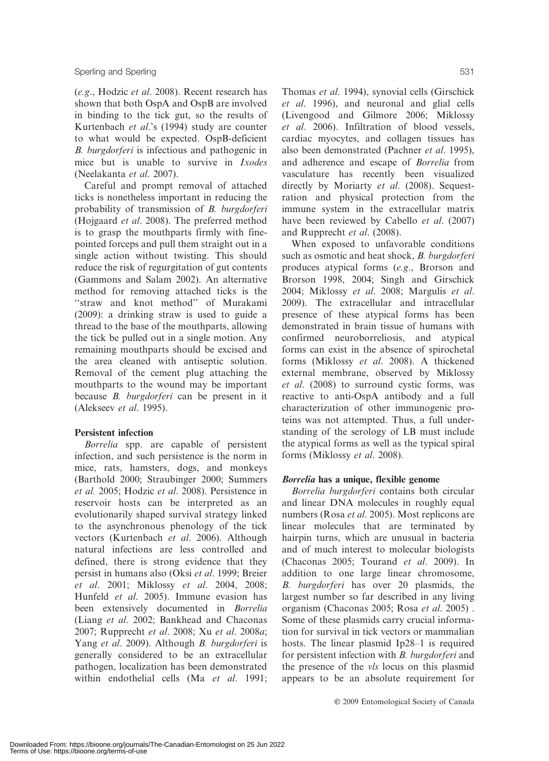(e.g., Hodzic et al. 2008). Recent research has shown that both OspA and OspB are involved in binding to the tick gut, so the results of Kurtenbach et al.'s (1994) study are counter to what would be expected. OspB-deficient B. burgdorferi is infectious and pathogenic in mice but is unable to survive in Ixodes (Neelakanta et al. 2007).

Careful and prompt removal of attached ticks is nonetheless important in reducing the probability of transmission of B. burgdorferi (Hojgaard et al. 2008). The preferred method is to grasp the mouthparts firmly with finepointed forceps and pull them straight out in a single action without twisting. This should reduce the risk of regurgitation of gut contents (Gammons and Salam 2002). An alternative method for removing attached ticks is the ''straw and knot method'' of Murakami (2009): a drinking straw is used to guide a thread to the base of the mouthparts, allowing the tick be pulled out in a single motion. Any remaining mouthparts should be excised and the area cleaned with antiseptic solution. Removal of the cement plug attaching the mouthparts to the wound may be important because *B. burgdorferi* can be present in it (Alekseev et al. 1995).

# Persistent infection

Borrelia spp. are capable of persistent infection, and such persistence is the norm in mice, rats, hamsters, dogs, and monkeys (Barthold 2000; Straubinger 2000; Summers et al. 2005; Hodzic et al. 2008). Persistence in reservoir hosts can be interpreted as an evolutionarily shaped survival strategy linked to the asynchronous phenology of the tick vectors (Kurtenbach et al. 2006). Although natural infections are less controlled and defined, there is strong evidence that they persist in humans also (Oksi et al. 1999; Breier et al. 2001; Miklossy et al. 2004, 2008; Hunfeld et al. 2005). Immune evasion has been extensively documented in Borrelia (Liang et al. 2002; Bankhead and Chaconas 2007; Rupprecht et al. 2008; Xu et al. 2008a; Yang et al. 2009). Although B. burgdorferi is generally considered to be an extracellular pathogen, localization has been demonstrated within endothelial cells (Ma et al. 1991;

Thomas et al. 1994), synovial cells (Girschick et al. 1996), and neuronal and glial cells (Livengood and Gilmore 2006; Miklossy et al. 2006). Infiltration of blood vessels, cardiac myocytes, and collagen tissues has also been demonstrated (Pachner et al. 1995), and adherence and escape of Borrelia from vasculature has recently been visualized directly by Moriarty et al. (2008). Sequestration and physical protection from the immune system in the extracellular matrix have been reviewed by Cabello *et al.* (2007) and Rupprecht et al. (2008).

When exposed to unfavorable conditions such as osmotic and heat shock, B. burgdorferi produces atypical forms (e.g., Brorson and Brorson 1998, 2004; Singh and Girschick 2004; Miklossy et al. 2008; Margulis et al. 2009). The extracellular and intracellular presence of these atypical forms has been demonstrated in brain tissue of humans with confirmed neuroborreliosis, and atypical forms can exist in the absence of spirochetal forms (Miklossy et al. 2008). A thickened external membrane, observed by Miklossy et al. (2008) to surround cystic forms, was reactive to anti-OspA antibody and a full characterization of other immunogenic proteins was not attempted. Thus, a full understanding of the serology of LB must include the atypical forms as well as the typical spiral forms (Miklossy et al. 2008).

#### Borrelia has a unique, flexible genome

Borrelia burgdorferi contains both circular and linear DNA molecules in roughly equal numbers (Rosa et al. 2005). Most replicons are linear molecules that are terminated by hairpin turns, which are unusual in bacteria and of much interest to molecular biologists (Chaconas 2005; Tourand et al. 2009). In addition to one large linear chromosome, B. burgdorferi has over 20 plasmids, the largest number so far described in any living organism (Chaconas 2005; Rosa et al. 2005) . Some of these plasmids carry crucial information for survival in tick vectors or mammalian hosts. The linear plasmid Ip28–1 is required for persistent infection with B. burgdorferi and the presence of the vls locus on this plasmid appears to be an absolute requirement for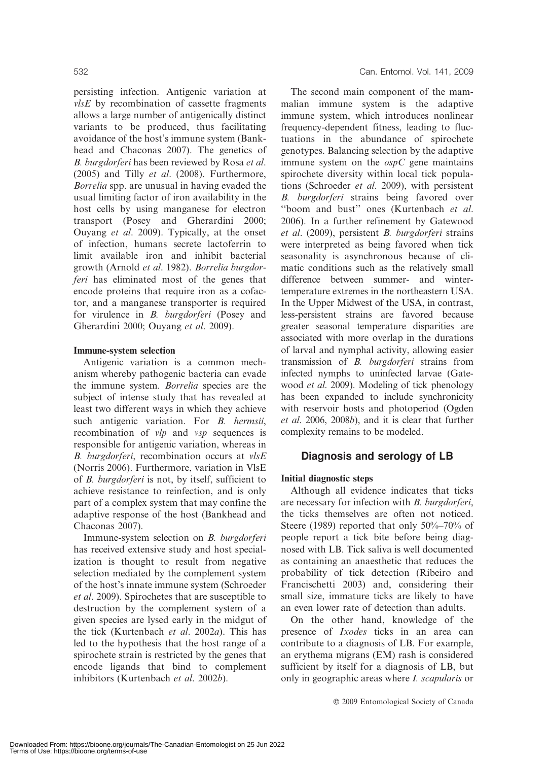persisting infection. Antigenic variation at vlsE by recombination of cassette fragments allows a large number of antigenically distinct variants to be produced, thus facilitating avoidance of the host's immune system (Bankhead and Chaconas 2007). The genetics of B. burgdorferi has been reviewed by Rosa et al. (2005) and Tilly et al. (2008). Furthermore, Borrelia spp. are unusual in having evaded the usual limiting factor of iron availability in the host cells by using manganese for electron transport (Posey and Gherardini 2000; Ouyang et al. 2009). Typically, at the onset of infection, humans secrete lactoferrin to limit available iron and inhibit bacterial growth (Arnold et al. 1982). Borrelia burgdorferi has eliminated most of the genes that encode proteins that require iron as a cofactor, and a manganese transporter is required for virulence in *B. burgdorferi* (Posey and Gherardini 2000; Ouyang et al. 2009).

#### Immune-system selection

Antigenic variation is a common mechanism whereby pathogenic bacteria can evade the immune system. Borrelia species are the subject of intense study that has revealed at least two different ways in which they achieve such antigenic variation. For *B. hermsii*, recombination of *vlp* and *vsp* sequences is responsible for antigenic variation, whereas in B. burgdorferi, recombination occurs at vlsE (Norris 2006). Furthermore, variation in VlsE of B. burgdorferi is not, by itself, sufficient to achieve resistance to reinfection, and is only part of a complex system that may confine the adaptive response of the host (Bankhead and Chaconas 2007).

Immune-system selection on B. burgdorferi has received extensive study and host specialization is thought to result from negative selection mediated by the complement system of the host's innate immune system (Schroeder et al. 2009). Spirochetes that are susceptible to destruction by the complement system of a given species are lysed early in the midgut of the tick (Kurtenbach et al. 2002a). This has led to the hypothesis that the host range of a spirochete strain is restricted by the genes that encode ligands that bind to complement inhibitors (Kurtenbach et al. 2002b).

The second main component of the mammalian immune system is the adaptive immune system, which introduces nonlinear frequency-dependent fitness, leading to fluctuations in the abundance of spirochete genotypes. Balancing selection by the adaptive immune system on the  $ospC$  gene maintains spirochete diversity within local tick populations (Schroeder et al. 2009), with persistent B. burgdorferi strains being favored over ''boom and bust'' ones (Kurtenbach et al. 2006). In a further refinement by Gatewood et al. (2009), persistent B. burgdorferi strains were interpreted as being favored when tick seasonality is asynchronous because of climatic conditions such as the relatively small difference between summer- and wintertemperature extremes in the northeastern USA. In the Upper Midwest of the USA, in contrast, less-persistent strains are favored because greater seasonal temperature disparities are associated with more overlap in the durations of larval and nymphal activity, allowing easier transmission of B. burgdorferi strains from infected nymphs to uninfected larvae (Gatewood et al. 2009). Modeling of tick phenology has been expanded to include synchronicity with reservoir hosts and photoperiod (Ogden et al. 2006, 2008b), and it is clear that further complexity remains to be modeled.

# Diagnosis and serology of LB

# Initial diagnostic steps

Although all evidence indicates that ticks are necessary for infection with B. burgdorferi, the ticks themselves are often not noticed. Steere (1989) reported that only 50%–70% of people report a tick bite before being diagnosed with LB. Tick saliva is well documented as containing an anaesthetic that reduces the probability of tick detection (Ribeiro and Francischetti 2003) and, considering their small size, immature ticks are likely to have an even lower rate of detection than adults.

On the other hand, knowledge of the presence of Ixodes ticks in an area can contribute to a diagnosis of LB. For example, an erythema migrans (EM) rash is considered sufficient by itself for a diagnosis of LB, but only in geographic areas where I. scapularis or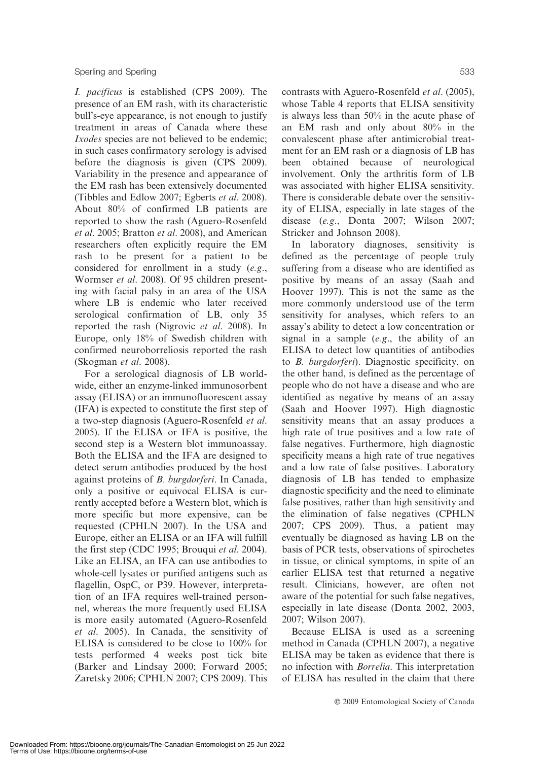I. pacificus is established (CPS 2009). The presence of an EM rash, with its characteristic bull's-eye appearance, is not enough to justify treatment in areas of Canada where these Ixodes species are not believed to be endemic; in such cases confirmatory serology is advised before the diagnosis is given (CPS 2009). Variability in the presence and appearance of the EM rash has been extensively documented (Tibbles and Edlow 2007; Egberts et al. 2008). About 80% of confirmed LB patients are reported to show the rash (Aguero-Rosenfeld et al. 2005; Bratton et al. 2008), and American researchers often explicitly require the EM rash to be present for a patient to be considered for enrollment in a study (e.g., Wormser et al. 2008). Of 95 children presenting with facial palsy in an area of the USA where LB is endemic who later received serological confirmation of LB, only 35 reported the rash (Nigrovic et al. 2008). In Europe, only 18% of Swedish children with confirmed neuroborreliosis reported the rash (Skogman et al. 2008).

For a serological diagnosis of LB worldwide, either an enzyme-linked immunosorbent assay (ELISA) or an immunofluorescent assay (IFA) is expected to constitute the first step of a two-step diagnosis (Aguero-Rosenfeld et al. 2005). If the ELISA or IFA is positive, the second step is a Western blot immunoassay. Both the ELISA and the IFA are designed to detect serum antibodies produced by the host against proteins of B. burgdorferi. In Canada, only a positive or equivocal ELISA is currently accepted before a Western blot, which is more specific but more expensive, can be requested (CPHLN 2007). In the USA and Europe, either an ELISA or an IFA will fulfill the first step (CDC 1995; Brouqui et al. 2004). Like an ELISA, an IFA can use antibodies to whole-cell lysates or purified antigens such as flagellin, OspC, or P39. However, interpretation of an IFA requires well-trained personnel, whereas the more frequently used ELISA is more easily automated (Aguero-Rosenfeld et al. 2005). In Canada, the sensitivity of ELISA is considered to be close to 100% for tests performed 4 weeks post tick bite (Barker and Lindsay 2000; Forward 2005; Zaretsky 2006; CPHLN 2007; CPS 2009). This

contrasts with Aguero-Rosenfeld et al. (2005), whose Table 4 reports that ELISA sensitivity is always less than 50% in the acute phase of an EM rash and only about 80% in the convalescent phase after antimicrobial treatment for an EM rash or a diagnosis of LB has been obtained because of neurological involvement. Only the arthritis form of LB was associated with higher ELISA sensitivity. There is considerable debate over the sensitivity of ELISA, especially in late stages of the disease (e.g., Donta 2007; Wilson 2007; Stricker and Johnson 2008).

In laboratory diagnoses, sensitivity is defined as the percentage of people truly suffering from a disease who are identified as positive by means of an assay (Saah and Hoover 1997). This is not the same as the more commonly understood use of the term sensitivity for analyses, which refers to an assay's ability to detect a low concentration or signal in a sample  $(e.g., the ability of an$ ELISA to detect low quantities of antibodies to B. burgdorferi). Diagnostic specificity, on the other hand, is defined as the percentage of people who do not have a disease and who are identified as negative by means of an assay (Saah and Hoover 1997). High diagnostic sensitivity means that an assay produces a high rate of true positives and a low rate of false negatives. Furthermore, high diagnostic specificity means a high rate of true negatives and a low rate of false positives. Laboratory diagnosis of LB has tended to emphasize diagnostic specificity and the need to eliminate false positives, rather than high sensitivity and the elimination of false negatives (CPHLN 2007; CPS 2009). Thus, a patient may eventually be diagnosed as having LB on the basis of PCR tests, observations of spirochetes in tissue, or clinical symptoms, in spite of an earlier ELISA test that returned a negative result. Clinicians, however, are often not aware of the potential for such false negatives, especially in late disease (Donta 2002, 2003, 2007; Wilson 2007).

Because ELISA is used as a screening method in Canada (CPHLN 2007), a negative ELISA may be taken as evidence that there is no infection with Borrelia. This interpretation of ELISA has resulted in the claim that there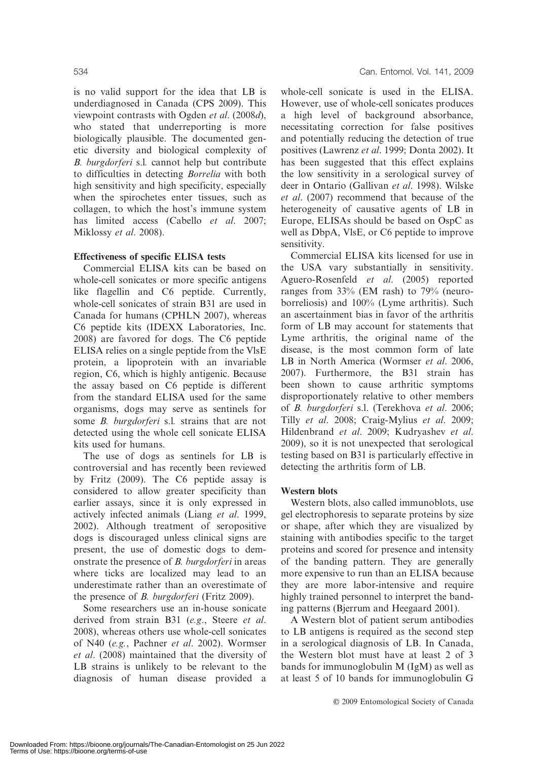is no valid support for the idea that LB is underdiagnosed in Canada (CPS 2009). This viewpoint contrasts with Ogden et al. (2008d), who stated that underreporting is more biologically plausible. The documented genetic diversity and biological complexity of B. burgdorferi s.l. cannot help but contribute to difficulties in detecting Borrelia with both high sensitivity and high specificity, especially when the spirochetes enter tissues, such as collagen, to which the host's immune system has limited access (Cabello et al. 2007; Miklossy et al. 2008).

# Effectiveness of specific ELISA tests

Commercial ELISA kits can be based on whole-cell sonicates or more specific antigens like flagellin and C6 peptide. Currently, whole-cell sonicates of strain B31 are used in Canada for humans (CPHLN 2007), whereas C6 peptide kits (IDEXX Laboratories, Inc. 2008) are favored for dogs. The C6 peptide ELISA relies on a single peptide from the VlsE protein, a lipoprotein with an invariable region, C6, which is highly antigenic. Because the assay based on C6 peptide is different from the standard ELISA used for the same organisms, dogs may serve as sentinels for some *B. burgdorferi* s.l. strains that are not detected using the whole cell sonicate ELISA kits used for humans.

The use of dogs as sentinels for LB is controversial and has recently been reviewed by Fritz (2009). The C6 peptide assay is considered to allow greater specificity than earlier assays, since it is only expressed in actively infected animals (Liang et al. 1999, 2002). Although treatment of seropositive dogs is discouraged unless clinical signs are present, the use of domestic dogs to demonstrate the presence of B. burgdorferi in areas where ticks are localized may lead to an underestimate rather than an overestimate of the presence of B. burgdorferi (Fritz 2009).

Some researchers use an in-house sonicate derived from strain B31 (e.g., Steere et al. 2008), whereas others use whole-cell sonicates of N40 (e.g., Pachner et al. 2002). Wormser et al. (2008) maintained that the diversity of LB strains is unlikely to be relevant to the diagnosis of human disease provided a

whole-cell sonicate is used in the ELISA. However, use of whole-cell sonicates produces a high level of background absorbance, necessitating correction for false positives and potentially reducing the detection of true positives (Lawrenz et al. 1999; Donta 2002). It has been suggested that this effect explains the low sensitivity in a serological survey of deer in Ontario (Gallivan et al. 1998). Wilske et al. (2007) recommend that because of the heterogeneity of causative agents of LB in Europe, ELISAs should be based on OspC as well as DbpA, VlsE, or C6 peptide to improve sensitivity.

Commercial ELISA kits licensed for use in the USA vary substantially in sensitivity. Aguero-Rosenfeld et al. (2005) reported ranges from 33% (EM rash) to 79% (neuroborreliosis) and 100% (Lyme arthritis). Such an ascertainment bias in favor of the arthritis form of LB may account for statements that Lyme arthritis, the original name of the disease, is the most common form of late LB in North America (Wormser et al. 2006, 2007). Furthermore, the B31 strain has been shown to cause arthritic symptoms disproportionately relative to other members of B. burgdorferi s.l. (Terekhova et al. 2006; Tilly et al. 2008; Craig-Mylius et al. 2009; Hildenbrand et al. 2009; Kudryashev et al. 2009), so it is not unexpected that serological testing based on B31 is particularly effective in detecting the arthritis form of LB.

# Western blots

Western blots, also called immunoblots, use gel electrophoresis to separate proteins by size or shape, after which they are visualized by staining with antibodies specific to the target proteins and scored for presence and intensity of the banding pattern. They are generally more expensive to run than an ELISA because they are more labor-intensive and require highly trained personnel to interpret the banding patterns (Bjerrum and Heegaard 2001).

A Western blot of patient serum antibodies to LB antigens is required as the second step in a serological diagnosis of LB. In Canada, the Western blot must have at least 2 of 3 bands for immunoglobulin M (IgM) as well as at least 5 of 10 bands for immunoglobulin G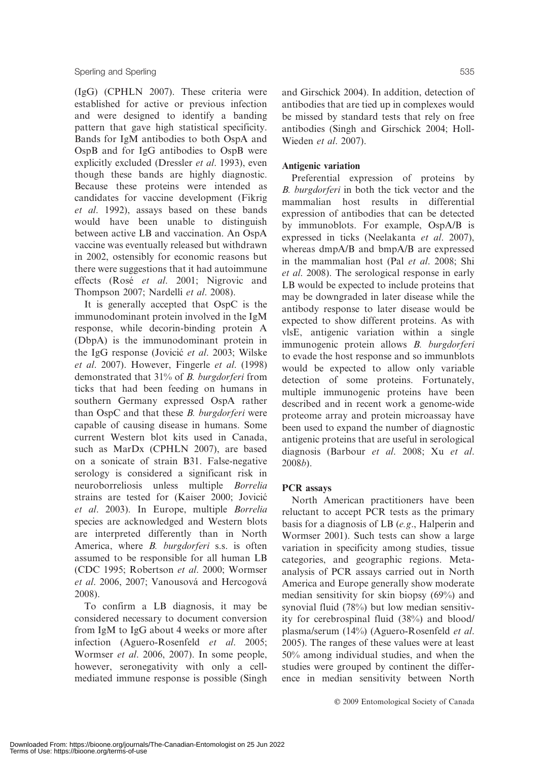(IgG) (CPHLN 2007). These criteria were established for active or previous infection and were designed to identify a banding pattern that gave high statistical specificity. Bands for IgM antibodies to both OspA and OspB and for IgG antibodies to OspB were explicitly excluded (Dressler et al. 1993), even though these bands are highly diagnostic. Because these proteins were intended as candidates for vaccine development (Fikrig et al. 1992), assays based on these bands would have been unable to distinguish between active LB and vaccination. An OspA vaccine was eventually released but withdrawn in 2002, ostensibly for economic reasons but there were suggestions that it had autoimmune effects (Rosé et al. 2001; Nigrovic and Thompson 2007; Nardelli et al. 2008).

It is generally accepted that OspC is the immunodominant protein involved in the IgM response, while decorin-binding protein A (DbpA) is the immunodominant protein in the IgG response (Jovicić et al. 2003; Wilske et al. 2007). However, Fingerle et al. (1998) demonstrated that 31% of B. burgdorferi from ticks that had been feeding on humans in southern Germany expressed OspA rather than OspC and that these B. burgdorferi were capable of causing disease in humans. Some current Western blot kits used in Canada, such as MarDx (CPHLN 2007), are based on a sonicate of strain B31. False-negative serology is considered a significant risk in neuroborreliosis unless multiple Borrelia strains are tested for (Kaiser 2000; Jovicic´ et al. 2003). In Europe, multiple Borrelia species are acknowledged and Western blots are interpreted differently than in North America, where *B. burgdorferi* s.s. is often assumed to be responsible for all human LB (CDC 1995; Robertson et al. 2000; Wormser et al. 2006, 2007; Vanousová and Hercogová 2008).

To confirm a LB diagnosis, it may be considered necessary to document conversion from IgM to IgG about 4 weeks or more after infection (Aguero-Rosenfeld et al. 2005; Wormser et al. 2006, 2007). In some people, however, seronegativity with only a cellmediated immune response is possible (Singh and Girschick 2004). In addition, detection of antibodies that are tied up in complexes would be missed by standard tests that rely on free antibodies (Singh and Girschick 2004; Holl-Wieden et al. 2007).

# Antigenic variation

Preferential expression of proteins by B. burgdorferi in both the tick vector and the mammalian host results in differential expression of antibodies that can be detected by immunoblots. For example, OspA/B is expressed in ticks (Neelakanta et al. 2007), whereas dmpA/B and bmpA/B are expressed in the mammalian host (Pal et al. 2008; Shi et al. 2008). The serological response in early LB would be expected to include proteins that may be downgraded in later disease while the antibody response to later disease would be expected to show different proteins. As with vlsE, antigenic variation within a single immunogenic protein allows B. burgdorferi to evade the host response and so immunblots would be expected to allow only variable detection of some proteins. Fortunately, multiple immunogenic proteins have been described and in recent work a genome-wide proteome array and protein microassay have been used to expand the number of diagnostic antigenic proteins that are useful in serological diagnosis (Barbour et al. 2008; Xu et al. 2008b).

# PCR assays

North American practitioners have been reluctant to accept PCR tests as the primary basis for a diagnosis of LB (e.g., Halperin and Wormser 2001). Such tests can show a large variation in specificity among studies, tissue categories, and geographic regions. Metaanalysis of PCR assays carried out in North America and Europe generally show moderate median sensitivity for skin biopsy (69%) and synovial fluid (78%) but low median sensitivity for cerebrospinal fluid (38%) and blood/ plasma/serum (14%) (Aguero-Rosenfeld et al. 2005). The ranges of these values were at least 50% among individual studies, and when the studies were grouped by continent the difference in median sensitivity between North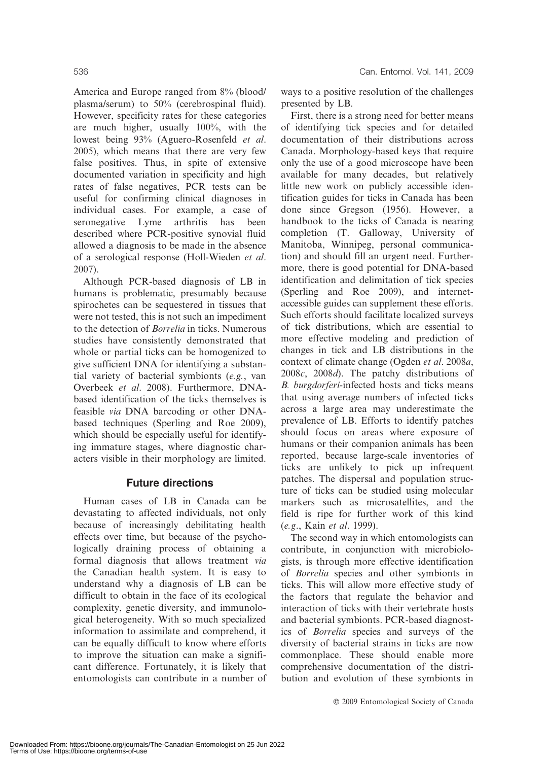America and Europe ranged from 8% (blood/ plasma/serum) to 50% (cerebrospinal fluid). However, specificity rates for these categories are much higher, usually 100%, with the lowest being 93% (Aguero-Rosenfeld et al. 2005), which means that there are very few false positives. Thus, in spite of extensive documented variation in specificity and high rates of false negatives, PCR tests can be useful for confirming clinical diagnoses in individual cases. For example, a case of seronegative Lyme arthritis has been described where PCR-positive synovial fluid allowed a diagnosis to be made in the absence of a serological response (Holl-Wieden et al. 2007).

Although PCR-based diagnosis of LB in humans is problematic, presumably because spirochetes can be sequestered in tissues that were not tested, this is not such an impediment to the detection of Borrelia in ticks. Numerous studies have consistently demonstrated that whole or partial ticks can be homogenized to give sufficient DNA for identifying a substantial variety of bacterial symbionts (e.g., van Overbeek et al. 2008). Furthermore, DNAbased identification of the ticks themselves is feasible via DNA barcoding or other DNAbased techniques (Sperling and Roe 2009), which should be especially useful for identifying immature stages, where diagnostic characters visible in their morphology are limited.

# Future directions

Human cases of LB in Canada can be devastating to affected individuals, not only because of increasingly debilitating health effects over time, but because of the psychologically draining process of obtaining a formal diagnosis that allows treatment via the Canadian health system. It is easy to understand why a diagnosis of LB can be difficult to obtain in the face of its ecological complexity, genetic diversity, and immunological heterogeneity. With so much specialized information to assimilate and comprehend, it can be equally difficult to know where efforts to improve the situation can make a significant difference. Fortunately, it is likely that entomologists can contribute in a number of ways to a positive resolution of the challenges presented by LB.

First, there is a strong need for better means of identifying tick species and for detailed documentation of their distributions across Canada. Morphology-based keys that require only the use of a good microscope have been available for many decades, but relatively little new work on publicly accessible identification guides for ticks in Canada has been done since Gregson (1956). However, a handbook to the ticks of Canada is nearing completion (T. Galloway, University of Manitoba, Winnipeg, personal communication) and should fill an urgent need. Furthermore, there is good potential for DNA-based identification and delimitation of tick species (Sperling and Roe 2009), and internetaccessible guides can supplement these efforts. Such efforts should facilitate localized surveys of tick distributions, which are essential to more effective modeling and prediction of changes in tick and LB distributions in the context of climate change (Ogden et al. 2008a, 2008c, 2008d). The patchy distributions of B. burgdorferi-infected hosts and ticks means that using average numbers of infected ticks across a large area may underestimate the prevalence of LB. Efforts to identify patches should focus on areas where exposure of humans or their companion animals has been reported, because large-scale inventories of ticks are unlikely to pick up infrequent patches. The dispersal and population structure of ticks can be studied using molecular markers such as microsatellites, and the field is ripe for further work of this kind (e.g., Kain et al. 1999).

The second way in which entomologists can contribute, in conjunction with microbiologists, is through more effective identification of Borrelia species and other symbionts in ticks. This will allow more effective study of the factors that regulate the behavior and interaction of ticks with their vertebrate hosts and bacterial symbionts. PCR-based diagnostics of Borrelia species and surveys of the diversity of bacterial strains in ticks are now commonplace. These should enable more comprehensive documentation of the distribution and evolution of these symbionts in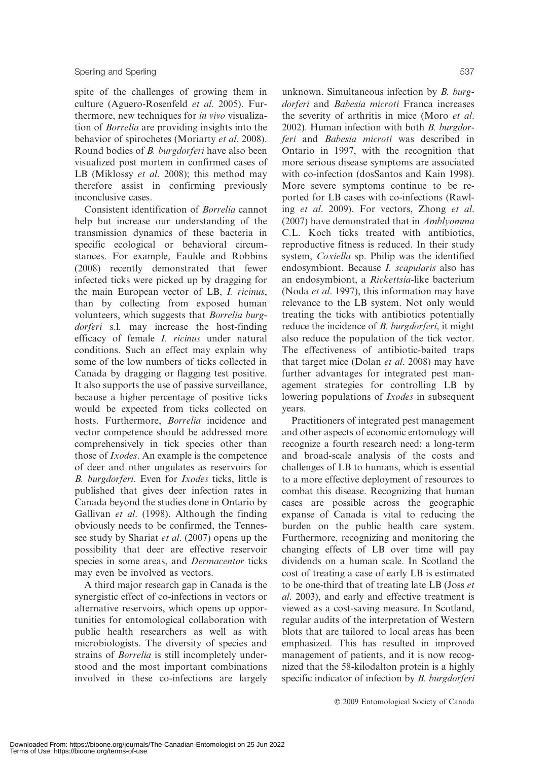spite of the challenges of growing them in culture (Aguero-Rosenfeld et al. 2005). Furthermore, new techniques for in vivo visualization of Borrelia are providing insights into the behavior of spirochetes (Moriarty et al. 2008). Round bodies of B. burgdorferi have also been visualized post mortem in confirmed cases of LB (Miklossy et al. 2008); this method may therefore assist in confirming previously inconclusive cases.

Consistent identification of Borrelia cannot help but increase our understanding of the transmission dynamics of these bacteria in specific ecological or behavioral circumstances. For example, Faulde and Robbins (2008) recently demonstrated that fewer infected ticks were picked up by dragging for the main European vector of LB, I. ricinus, than by collecting from exposed human volunteers, which suggests that Borrelia burgdorferi s.l. may increase the host-finding efficacy of female I. ricinus under natural conditions. Such an effect may explain why some of the low numbers of ticks collected in Canada by dragging or flagging test positive. It also supports the use of passive surveillance, because a higher percentage of positive ticks would be expected from ticks collected on hosts. Furthermore, Borrelia incidence and vector competence should be addressed more comprehensively in tick species other than those of Ixodes. An example is the competence of deer and other ungulates as reservoirs for B. burgdorferi. Even for Ixodes ticks, little is published that gives deer infection rates in Canada beyond the studies done in Ontario by Gallivan et al. (1998). Although the finding obviously needs to be confirmed, the Tennessee study by Shariat *et al.* (2007) opens up the possibility that deer are effective reservoir species in some areas, and *Dermacentor* ticks may even be involved as vectors.

A third major research gap in Canada is the synergistic effect of co-infections in vectors or alternative reservoirs, which opens up opportunities for entomological collaboration with public health researchers as well as with microbiologists. The diversity of species and strains of Borrelia is still incompletely understood and the most important combinations involved in these co-infections are largely

unknown. Simultaneous infection by B. burgdorferi and Babesia microti Franca increases the severity of arthritis in mice (Moro et al. 2002). Human infection with both B. burgdorferi and Babesia microti was described in Ontario in 1997, with the recognition that more serious disease symptoms are associated with co-infection (dosSantos and Kain 1998). More severe symptoms continue to be reported for LB cases with co-infections (Rawling et al. 2009). For vectors, Zhong et al. (2007) have demonstrated that in Amblyomma C.L. Koch ticks treated with antibiotics, reproductive fitness is reduced. In their study system, Coxiella sp. Philip was the identified endosymbiont. Because I. scapularis also has an endosymbiont, a Rickettsia-like bacterium (Noda et al. 1997), this information may have relevance to the LB system. Not only would treating the ticks with antibiotics potentially reduce the incidence of *B. burgdorferi*, it might also reduce the population of the tick vector. The effectiveness of antibiotic-baited traps that target mice (Dolan et al. 2008) may have further advantages for integrated pest management strategies for controlling LB by lowering populations of *Ixodes* in subsequent years.

Practitioners of integrated pest management and other aspects of economic entomology will recognize a fourth research need: a long-term and broad-scale analysis of the costs and challenges of LB to humans, which is essential to a more effective deployment of resources to combat this disease. Recognizing that human cases are possible across the geographic expanse of Canada is vital to reducing the burden on the public health care system. Furthermore, recognizing and monitoring the changing effects of LB over time will pay dividends on a human scale. In Scotland the cost of treating a case of early LB is estimated to be one-third that of treating late LB (Joss et al. 2003), and early and effective treatment is viewed as a cost-saving measure. In Scotland, regular audits of the interpretation of Western blots that are tailored to local areas has been emphasized. This has resulted in improved management of patients, and it is now recognized that the 58-kilodalton protein is a highly specific indicator of infection by *B. burgdorferi*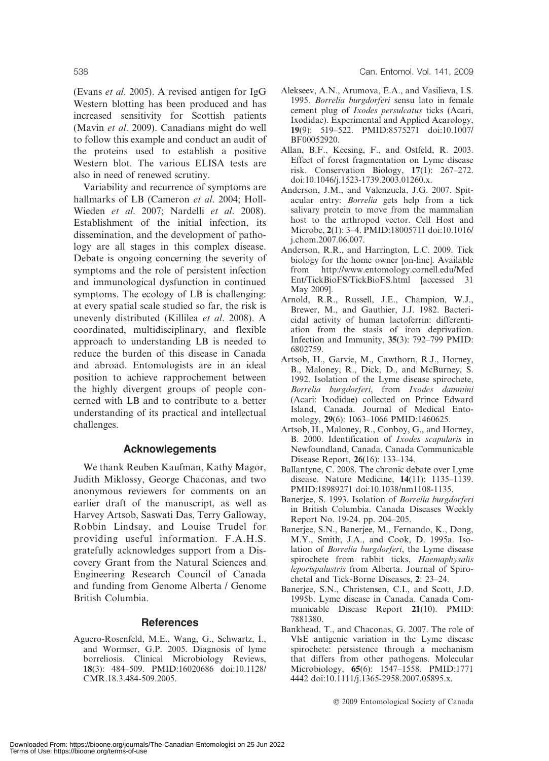(Evans et al. 2005). A revised antigen for IgG Western blotting has been produced and has increased sensitivity for Scottish patients (Mavin et al. 2009). Canadians might do well to follow this example and conduct an audit of the proteins used to establish a positive Western blot. The various ELISA tests are also in need of renewed scrutiny.

Variability and recurrence of symptoms are hallmarks of LB (Cameron et al. 2004; Holl-Wieden et al. 2007; Nardelli et al. 2008). Establishment of the initial infection, its dissemination, and the development of pathology are all stages in this complex disease. Debate is ongoing concerning the severity of symptoms and the role of persistent infection and immunological dysfunction in continued symptoms. The ecology of LB is challenging: at every spatial scale studied so far, the risk is unevenly distributed (Killilea et al. 2008). A coordinated, multidisciplinary, and flexible approach to understanding LB is needed to reduce the burden of this disease in Canada and abroad. Entomologists are in an ideal position to achieve rapprochement between the highly divergent groups of people concerned with LB and to contribute to a better understanding of its practical and intellectual challenges.

#### Acknowlegements

We thank Reuben Kaufman, Kathy Magor, Judith Miklossy, George Chaconas, and two anonymous reviewers for comments on an earlier draft of the manuscript, as well as Harvey Artsob, Saswati Das, Terry Galloway, Robbin Lindsay, and Louise Trudel for providing useful information. F.A.H.S. gratefully acknowledges support from a Discovery Grant from the Natural Sciences and Engineering Research Council of Canada and funding from Genome Alberta / Genome British Columbia.

#### **References**

Aguero-Rosenfeld, M.E., Wang, G., Schwartz, I., and Wormser, G.P. 2005. Diagnosis of lyme borreliosis. Clinical Microbiology Reviews, 18(3): 484–509. PMID:16020686 doi:10.1128/ CMR.18.3.484-509.2005.

- Alekseev, A.N., Arumova, E.A., and Vasilieva, I.S. 1995. Borrelia burgdorferi sensu lato in female cement plug of Ixodes persulcatus ticks (Acari, Ixodidae). Experimental and Applied Acarology, 19(9): 519–522. PMID:8575271 doi:10.1007/ BF00052920.
- Allan, B.F., Keesing, F., and Ostfeld, R. 2003. Effect of forest fragmentation on Lyme disease risk. Conservation Biology, 17(1): 267–272. doi:10.1046/j.1523-1739.2003.01260.x.
- Anderson, J.M., and Valenzuela, J.G. 2007. Spitacular entry: Borrelia gets help from a tick salivary protein to move from the mammalian host to the arthropod vector. Cell Host and Microbe, 2(1): 3–4. PMID:18005711 doi:10.1016/ j.chom.2007.06.007.
- Anderson, R.R., and Harrington, L.C. 2009. Tick biology for the home owner [on-line]. Available from http://www.entomology.cornell.edu/Med Ent/TickBioFS/TickBioFS.html [accessed 31 May 2009].
- Arnold, R.R., Russell, J.E., Champion, W.J., Brewer, M., and Gauthier, J.J. 1982. Bactericidal activity of human lactoferrin: differentiation from the stasis of iron deprivation. Infection and Immunity, 35(3): 792–799 PMID: 6802759.
- Artsob, H., Garvie, M., Cawthorn, R.J., Horney, B., Maloney, R., Dick, D., and McBurney, S. 1992. Isolation of the Lyme disease spirochete, Borrelia burgdorferi, from Ixodes dammini (Acari: Ixodidae) collected on Prince Edward Island, Canada. Journal of Medical Entomology, 29(6): 1063–1066 PMID:1460625.
- Artsob, H., Maloney, R., Conboy, G., and Horney, B. 2000. Identification of Ixodes scapularis in Newfoundland, Canada. Canada Communicable Disease Report, 26(16): 133–134.
- Ballantyne, C. 2008. The chronic debate over Lyme disease. Nature Medicine, 14(11): 1135–1139. PMID:18989271 doi:10.1038/nm1108-1135.
- Banerjee, S. 1993. Isolation of Borrelia burgdorferi in British Columbia. Canada Diseases Weekly Report No. 19-24. pp. 204–205.
- Banerjee, S.N., Banerjee, M., Fernando, K., Dong, M.Y., Smith, J.A., and Cook, D. 1995a. Isolation of Borrelia burgdorferi, the Lyme disease spirochete from rabbit ticks, Haemaphysalis leporispalustris from Alberta. Journal of Spirochetal and Tick-Borne Diseases, 2: 23–24.
- Banerjee, S.N., Christensen, C.I., and Scott, J.D. 1995b. Lyme disease in Canada. Canada Communicable Disease Report 21(10). PMID: 7881380.
- Bankhead, T., and Chaconas, G. 2007. The role of VlsE antigenic variation in the Lyme disease spirochete: persistence through a mechanism that differs from other pathogens. Molecular Microbiology, 65(6): 1547–1558. PMID:1771 4442 doi:10.1111/j.1365-2958.2007.05895.x.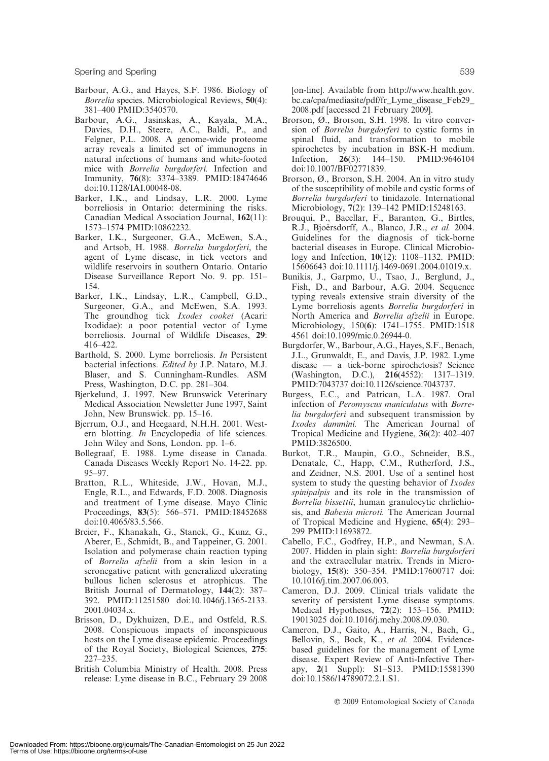Sperling and Sperling 639

- Barbour, A.G., and Hayes, S.F. 1986. Biology of Borrelia species. Microbiological Reviews, 50(4): 381–400 PMID:3540570.
- Barbour, A.G., Jasinskas, A., Kayala, M.A., Davies, D.H., Steere, A.C., Baldi, P., and Felgner, P.L. 2008. A genome-wide proteome array reveals a limited set of immunogens in natural infections of humans and white-footed mice with Borrelia burgdorferi. Infection and Immunity, 76(8): 3374–3389. PMID:18474646 doi:10.1128/IAI.00048-08.
- Barker, I.K., and Lindsay, L.R. 2000. Lyme borreliosis in Ontario: determining the risks. Canadian Medical Association Journal, 162(11): 1573–1574 PMID:10862232.
- Barker, I.K., Surgeoner, G.A., McEwen, S.A., and Artsob, H. 1988. Borrelia burgdorferi, the agent of Lyme disease, in tick vectors and wildlife reservoirs in southern Ontario. Ontario Disease Surveillance Report No. 9. pp. 151– 154.
- Barker, I.K., Lindsay, L.R., Campbell, G.D., Surgeoner, G.A., and McEwen, S.A. 1993. The groundhog tick Ixodes cookei (Acari: Ixodidae): a poor potential vector of Lyme borreliosis. Journal of Wildlife Diseases, 29: 416–422.
- Barthold, S. 2000. Lyme borreliosis. In Persistent bacterial infections. Edited by J.P. Nataro, M.J. Blaser, and S. Cunningham-Rundles. ASM Press, Washington, D.C. pp. 281–304.
- Bjerkelund, J. 1997. New Brunswick Veterinary Medical Association Newsletter June 1997, Saint John, New Brunswick. pp. 15–16.
- Bjerrum, O.J., and Heegaard, N.H.H. 2001. Western blotting. In Encyclopedia of life sciences. John Wiley and Sons, London. pp. 1–6.
- Bollegraaf, E. 1988. Lyme disease in Canada. Canada Diseases Weekly Report No. 14-22. pp. 95–97.
- Bratton, R.L., Whiteside, J.W., Hovan, M.J., Engle, R.L., and Edwards, F.D. 2008. Diagnosis and treatment of Lyme disease. Mayo Clinic Proceedings, 83(5): 566–571. PMID:18452688 doi:10.4065/83.5.566.
- Breier, F., Khanakah, G., Stanek, G., Kunz, G., Aberer, E., Schmidt, B., and Tappeiner, G. 2001. Isolation and polymerase chain reaction typing of Borrelia afzelii from a skin lesion in a seronegative patient with generalized ulcerating bullous lichen sclerosus et atrophicus. The British Journal of Dermatology, 144(2): 387– 392. PMID:11251580 doi:10.1046/j.1365-2133. 2001.04034.x.
- Brisson, D., Dykhuizen, D.E., and Ostfeld, R.S. 2008. Conspicuous impacts of inconspicuous hosts on the Lyme disease epidemic. Proceedings of the Royal Society, Biological Sciences, 275: 227–235.
- British Columbia Ministry of Health. 2008. Press release: Lyme disease in B.C., February 29 2008

[on-line]. Available from http://www.health.gov. bc.ca/cpa/mediasite/pdf/fr\_Lyme\_disease\_Feb29\_ 2008.pdf [accessed 21 February 2009].

- Brorson, Ø., Brorson, S.H. 1998. In vitro conversion of Borrelia burgdorferi to cystic forms in spinal fluid, and transformation to mobile spirochetes by incubation in BSK-H medium. Infection, 26(3): 144–150. PMID:9646104 doi:10.1007/BF02771839.
- Brorson, Ø., Brorson, S.H. 2004. An in vitro study of the susceptibility of mobile and cystic forms of Borrelia burgdorferi to tinidazole. International Microbiology, 7(2): 139–142 PMID:15248163.
- Brouqui, P., Bacellar, F., Baranton, G., Birtles, R.J., Bjoërsdorff, A., Blanco, J.R., et al. 2004. Guidelines for the diagnosis of tick-borne bacterial diseases in Europe. Clinical Microbiology and Infection, 10(12): 1108–1132. PMID: 15606643 doi:10.1111/j.1469-0691.2004.01019.x.
- Bunikis, J., Garpmo, U., Tsao, J., Berglund, J., Fish, D., and Barbour, A.G. 2004. Sequence typing reveals extensive strain diversity of the Lyme borreliosis agents Borrelia burgdorferi in North America and Borrelia afzelii in Europe. Microbiology, 150(6): 1741–1755. PMID:1518 4561 doi:10.1099/mic.0.26944-0.
- Burgdorfer, W., Barbour, A.G., Hayes, S.F., Benach, J.L., Grunwaldt, E., and Davis, J.P. 1982. Lyme disease — a tick-borne spirochetosis? Science (Washington, D.C.), 216(4552): 1317–1319. PMID:7043737 doi:10.1126/science.7043737.
- Burgess, E.C., and Patrican, L.A. 1987. Oral infection of Peromyscus maniculatus with Borrelia burgdorferi and subsequent transmission by Ixodes dammini. The American Journal of Tropical Medicine and Hygiene, 36(2): 402–407 PMID:3826500.
- Burkot, T.R., Maupin, G.O., Schneider, B.S., Denatale, C., Happ, C.M., Rutherford, J.S., and Zeidner, N.S. 2001. Use of a sentinel host system to study the questing behavior of Ixodes spinipalpis and its role in the transmission of Borrelia bissettii, human granulocytic ehrlichiosis, and Babesia microti. The American Journal of Tropical Medicine and Hygiene, 65(4): 293– 299 PMID:11693872.
- Cabello, F.C., Godfrey, H.P., and Newman, S.A. 2007. Hidden in plain sight: Borrelia burgdorferi and the extracellular matrix. Trends in Microbiology, 15(8): 350–354. PMID:17600717 doi: 10.1016/j.tim.2007.06.003.
- Cameron, D.J. 2009. Clinical trials validate the severity of persistent Lyme disease symptoms. Medical Hypotheses, 72(2): 153–156. PMID: 19013025 doi:10.1016/j.mehy.2008.09.030.
- Cameron, D.J., Gaito, A., Harris, N., Bach, G., Bellovin, S., Bock, K., et al. 2004. Evidencebased guidelines for the management of Lyme disease. Expert Review of Anti-Infective Therapy, 2(1 Suppl): S1–S13. PMID:15581390 doi:10.1586/14789072.2.1.S1.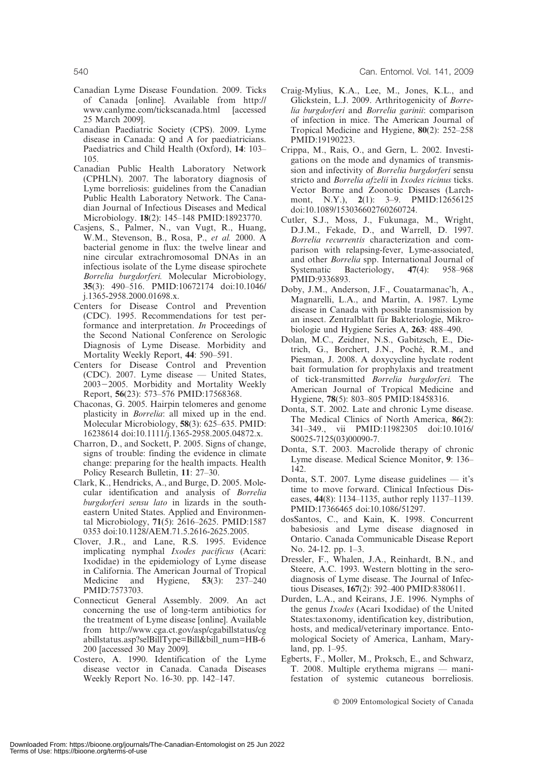- Canadian Lyme Disease Foundation. 2009. Ticks of Canada [online]. Available from http:// www.canlyme.com/tickscanada.html [accessed 25 March 2009].
- Canadian Paediatric Society (CPS). 2009. Lyme disease in Canada: Q and A for paediatricians. Paediatrics and Child Health (Oxford), 14: 103– 105.
- Canadian Public Health Laboratory Network (CPHLN). 2007. The laboratory diagnosis of Lyme borreliosis: guidelines from the Canadian Public Health Laboratory Network. The Canadian Journal of Infectious Diseases and Medical Microbiology. 18(2): 145–148 PMID:18923770.
- Casjens, S., Palmer, N., van Vugt, R., Huang, W.M., Stevenson, B., Rosa, P., et al. 2000. A bacterial genome in flux: the twelve linear and nine circular extrachromosomal DNAs in an infectious isolate of the Lyme disease spirochete Borrelia burgdorferi. Molecular Microbiology, 35(3): 490–516. PMID:10672174 doi:10.1046/ j.1365-2958.2000.01698.x.
- Centers for Disease Control and Prevention (CDC). 1995. Recommendations for test performance and interpretation. In Proceedings of the Second National Conference on Serologic Diagnosis of Lyme Disease. Morbidity and Mortality Weekly Report, 44: 590–591.
- Centers for Disease Control and Prevention (CDC). 2007. Lyme disease — United States, 2003-2005. Morbidity and Mortality Weekly Report, 56(23): 573–576 PMID:17568368.
- Chaconas, G. 2005. Hairpin telomeres and genome plasticity in Borrelia: all mixed up in the end. Molecular Microbiology, 58(3): 625–635. PMID: 16238614 doi:10.1111/j.1365-2958.2005.04872.x.
- Charron, D., and Sockett, P. 2005. Signs of change, signs of trouble: finding the evidence in climate change: preparing for the health impacts. Health Policy Research Bulletin, 11: 27–30.
- Clark, K., Hendricks, A., and Burge, D. 2005. Molecular identification and analysis of Borrelia burgdorferi sensu lato in lizards in the southeastern United States. Applied and Environmental Microbiology, 71(5): 2616–2625. PMID:1587 0353 doi:10.1128/AEM.71.5.2616-2625.2005.
- Clover, J.R., and Lane, R.S. 1995. Evidence implicating nymphal Ixodes pacificus (Acari: Ixodidae) in the epidemiology of Lyme disease in California. The American Journal of Tropical Medicine and Hygiene, **53**(3): 237–240 PMID:7573703.
- Connecticut General Assembly. 2009. An act concerning the use of long-term antibiotics for the treatment of Lyme disease [online]. Available from http://www.cga.ct.gov/asp/cgabillstatus/cg abillstatus.asp?selBillType=Bill&bill\_num=HB-6 200 [accessed 30 May 2009].
- Costero, A. 1990. Identification of the Lyme disease vector in Canada. Canada Diseases Weekly Report No. 16-30. pp. 142–147.
- Craig-Mylius, K.A., Lee, M., Jones, K.L., and Glickstein, L.J. 2009. Arthritogenicity of Borrelia burgdorferi and Borrelia garinii: comparison of infection in mice. The American Journal of Tropical Medicine and Hygiene, 80(2): 252–258 PMID:19190223.
- Crippa, M., Rais, O., and Gern, L. 2002. Investigations on the mode and dynamics of transmission and infectivity of Borrelia burgdorferi sensu stricto and Borrelia afzelii in Ixodes ricinus ticks. Vector Borne and Zoonotic Diseases (Larchmont, N.Y.), 2(1): 3–9. PMID:12656125 doi:10.1089/153036602760260724.
- Cutler, S.J., Moss, J., Fukunaga, M., Wright, D.J.M., Fekade, D., and Warrell, D. 1997. Borrelia recurrentis characterization and comparison with relapsing-fever, Lyme-associated, and other *Borrelia* spp. International Journal of Systematic Bacteriology,  $47(4)$ : 958–968 Systematic Bacteriology,  $47(4)$ : PMID:9336893.
- Doby, J.M., Anderson, J.F., Couatarmanac'h, A., Magnarelli, L.A., and Martin, A. 1987. Lyme disease in Canada with possible transmission by an insect. Zentralblatt für Bakteriologie, Mikrobiologie und Hygiene Series A, 263: 488–490.
- Dolan, M.C., Zeidner, N.S., Gabitzsch, E., Dietrich, G., Borchert, J.N., Poché, R.M., and Piesman, J. 2008. A doxycycline hyclate rodent bait formulation for prophylaxis and treatment of tick-transmitted Borrelia burgdorferi. The American Journal of Tropical Medicine and Hygiene, 78(5): 803–805 PMID:18458316.
- Donta, S.T. 2002. Late and chronic Lyme disease. The Medical Clinics of North America, 86(2): 341–349., vii PMID:11982305 doi:10.1016/ S0025-7125(03)00090-7.
- Donta, S.T. 2003. Macrolide therapy of chronic Lyme disease. Medical Science Monitor, 9: 136– 142.
- Donta, S.T. 2007. Lyme disease guidelines it's time to move forward. Clinical Infectious Diseases, 44(8): 1134–1135, author reply 1137–1139. PMID:17366465 doi:10.1086/51297.
- dosSantos, C., and Kain, K. 1998. Concurrent babesiosis and Lyme disease diagnosed in Ontario. Canada Communicable Disease Report No. 24-12. pp. 1–3.
- Dressler, F., Whalen, J.A., Reinhardt, B.N., and Steere, A.C. 1993. Western blotting in the serodiagnosis of Lyme disease. The Journal of Infectious Diseases, 167(2): 392–400 PMID:8380611.
- Durden, L.A., and Keirans, J.E. 1996. Nymphs of the genus Ixodes (Acari Ixodidae) of the United States:taxonomy, identification key, distribution, hosts, and medical/veterinary importance. Entomological Society of America, Lanham, Maryland, pp. 1–95.
- Egberts, F., Moller, M., Proksch, E., and Schwarz, T. 2008. Multiple erythema migrans — manifestation of systemic cutaneous borreliosis.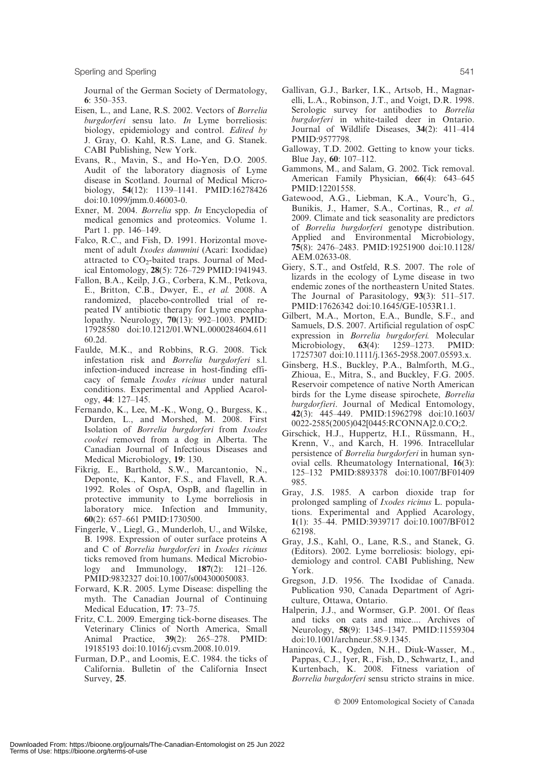Journal of the German Society of Dermatology, 6: 350–353.

- Eisen, L., and Lane, R.S. 2002. Vectors of Borrelia burgdorferi sensu lato. In Lyme borreliosis: biology, epidemiology and control. Edited by J. Gray, O. Kahl, R.S. Lane, and G. Stanek. CABI Publishing, New York.
- Evans, R., Mavin, S., and Ho-Yen, D.O. 2005. Audit of the laboratory diagnosis of Lyme disease in Scotland. Journal of Medical Microbiology, 54(12): 1139–1141. PMID:16278426 doi:10.1099/jmm.0.46003-0.
- Exner, M. 2004. Borrelia spp. In Encyclopedia of medical genomics and proteomics. Volume 1. Part 1. pp. 146–149.
- Falco, R.C., and Fish, D. 1991. Horizontal movement of adult Ixodes dammini (Acari: Ixodidae) attracted to  $CO<sub>2</sub>$ -baited traps. Journal of Medical Entomology, 28(5): 726–729 PMID:1941943.
- Fallon, B.A., Keilp, J.G., Corbera, K.M., Petkova, E., Britton, C.B., Dwyer, E., et al. 2008. A randomized, placebo-controlled trial of repeated IV antibiotic therapy for Lyme encephalopathy. Neurology, 70(13): 992–1003. PMID: 17928580 doi:10.1212/01.WNL.0000284604.611 60.2d.
- Faulde, M.K., and Robbins, R.G. 2008. Tick infestation risk and Borrelia burgdorferi s.l. infection-induced increase in host-finding efficacy of female Ixodes ricinus under natural conditions. Experimental and Applied Acarology, 44: 127–145.
- Fernando, K., Lee, M.-K., Wong, Q., Burgess, K., Durden, L., and Morshed, M. 2008. First Isolation of Borrelia burgdorferi from Ixodes cookei removed from a dog in Alberta. The Canadian Journal of Infectious Diseases and Medical Microbiology, 19: 130.
- Fikrig, E., Barthold, S.W., Marcantonio, N., Deponte, K., Kantor, F.S., and Flavell, R.A. 1992. Roles of OspA, OspB, and flagellin in protective immunity to Lyme borreliosis in laboratory mice. Infection and Immunity, 60(2): 657–661 PMID:1730500.
- Fingerle, V., Liegl, G., Munderloh, U., and Wilske, B. 1998. Expression of outer surface proteins A and C of Borrelia burgdorferi in Ixodes ricinus ticks removed from humans. Medical Microbiology and Immunology, 187(2): 121–126. PMID:9832327 doi:10.1007/s004300050083.
- Forward, K.R. 2005. Lyme Disease: dispelling the myth. The Canadian Journal of Continuing Medical Education, 17: 73–75.
- Fritz, C.L. 2009. Emerging tick-borne diseases. The Veterinary Clinics of North America, Small Animal Practice, 39(2): 265–278. PMID: 19185193 doi:10.1016/j.cvsm.2008.10.019.
- Furman, D.P., and Loomis, E.C. 1984. the ticks of California. Bulletin of the California Insect Survey, 25.
- Gallivan, G.J., Barker, I.K., Artsob, H., Magnarelli, L.A., Robinson, J.T., and Voigt, D.R. 1998. Serologic survey for antibodies to Borrelia burgdorferi in white-tailed deer in Ontario. Journal of Wildlife Diseases, 34(2): 411–414 PMID:9577798.
- Galloway, T.D. 2002. Getting to know your ticks. Blue Jay, 60: 107–112.
- Gammons, M., and Salam, G. 2002. Tick removal. American Family Physician, 66(4): 643–645 PMID:12201558.
- Gatewood, A.G., Liebman, K.A., Vourc'h, G., Bunikis, J., Hamer, S.A., Cortinas, R., et al. 2009. Climate and tick seasonality are predictors of Borrelia burgdorferi genotype distribution. Applied and Environmental Microbiology, 75(8): 2476–2483. PMID:19251900 doi:10.1128/ AEM.02633-08.
- Giery, S.T., and Ostfeld, R.S. 2007. The role of lizards in the ecology of Lyme disease in two endemic zones of the northeastern United States. The Journal of Parasitology, 93(3): 511–517. PMID:17626342 doi:10.1645/GE-1053R1.1.
- Gilbert, M.A., Morton, E.A., Bundle, S.F., and Samuels, D.S. 2007. Artificial regulation of ospC expression in Borrelia burgdorferi. Molecular Microbiology, **63**(4): 1259–1273. PMID: 17257307 doi:10.1111/j.1365-2958.2007.05593.x.
- Ginsberg, H.S., Buckley, P.A., Balmforth, M.G., Zhioua, E., Mitra, S., and Buckley, F.G. 2005. Reservoir competence of native North American birds for the Lyme disease spirochete, Borrelia burgdorfieri. Journal of Medical Entomology, 42(3): 445–449. PMID:15962798 doi:10.1603/ 0022-2585(2005)042[0445:RCONNA]2.0.CO;2.
- Girschick, H.J., Huppertz, H.I., Rüssmann, H., Krenn, V., and Karch, H. 1996. Intracellular persistence of Borrelia burgdorferi in human synovial cells. Rheumatology International, 16(3): 125–132 PMID:8893378 doi:10.1007/BF01409 985.
- Gray, J.S. 1985. A carbon dioxide trap for prolonged sampling of Ixodes ricinus L. populations. Experimental and Applied Acarology, 1(1): 35–44. PMID:3939717 doi:10.1007/BF012 62198.
- Gray, J.S., Kahl, O., Lane, R.S., and Stanek, G. (Editors). 2002. Lyme borreliosis: biology, epidemiology and control. CABI Publishing, New York.
- Gregson, J.D. 1956. The Ixodidae of Canada. Publication 930, Canada Department of Agriculture, Ottawa, Ontario.
- Halperin, J.J., and Wormser, G.P. 2001. Of fleas and ticks on cats and mice.... Archives of Neurology, 58(9): 1345–1347. PMID:11559304 doi:10.1001/archneur.58.9.1345.
- Hanincová, K., Ogden, N.H., Diuk-Wasser, M., Pappas, C.J., Iyer, R., Fish, D., Schwartz, I., and Kurtenbach, K. 2008. Fitness variation of Borrelia burgdorferi sensu stricto strains in mice.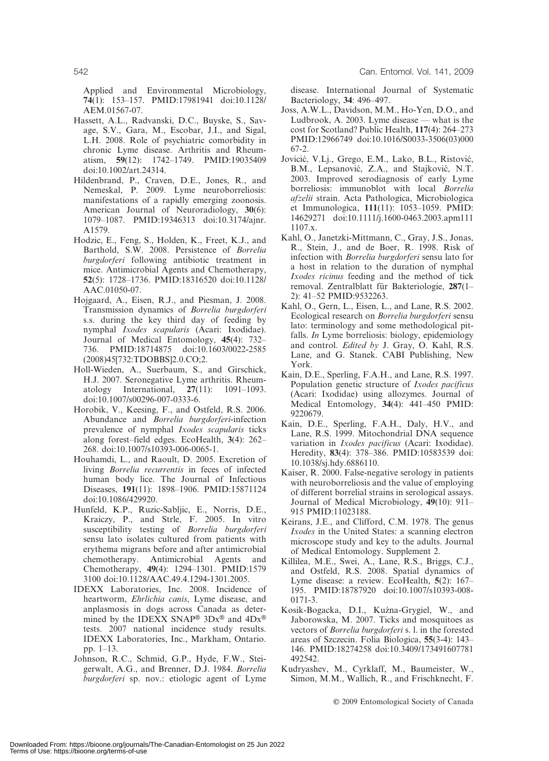Applied and Environmental Microbiology, 74(1): 153–157. PMID:17981941 doi:10.1128/ AEM.01567-07.

- Hassett, A.L., Radvanski, D.C., Buyske, S., Savage, S.V., Gara, M., Escobar, J.I., and Sigal, L.H. 2008. Role of psychiatric comorbidity in chronic Lyme disease. Arthritis and Rheumatism, 59(12): 1742–1749. PMID:19035409 doi:10.1002/art.24314.
- Hildenbrand, P., Craven, D.E., Jones, R., and Nemeskal, P. 2009. Lyme neuroborreliosis: manifestations of a rapidly emerging zoonosis. American Journal of Neuroradiology, 30(6): 1079–1087. PMID:19346313 doi:10.3174/ajnr. A1579.
- Hodzic, E., Feng, S., Holden, K., Freet, K.J., and Barthold, S.W. 2008. Persistence of Borrelia burgdorferi following antibiotic treatment in mice. Antimicrobial Agents and Chemotherapy, 52(5): 1728–1736. PMID:18316520 doi:10.1128/ AAC.01050-07.
- Hojgaard, A., Eisen, R.J., and Piesman, J. 2008. Transmission dynamics of Borrelia burgdorferi s.s. during the key third day of feeding by nymphal Ixodes scapularis (Acari: Ixodidae). Journal of Medical Entomology, 45(4): 732– 736. PMID:18714875 doi:10.1603/0022-2585 (2008)45[732:TDOBBS]2.0.CO;2.
- Holl-Wieden, A., Suerbaum, S., and Girschick, H.J. 2007. Seronegative Lyme arthritis. Rheumatology International, 27(11): 1091–1093. doi:10.1007/s00296-007-0333-6.
- Horobik, V., Keesing, F., and Ostfeld, R.S. 2006. Abundance and Borrelia burgdorferi-infection prevalence of nymphal Ixodes scapularis ticks along forest–field edges. EcoHealth, 3(4): 262– 268. doi:10.1007/s10393-006-0065-1.
- Houhamdi, L., and Raoult, D. 2005. Excretion of living Borrelia recurrentis in feces of infected human body lice. The Journal of Infectious Diseases, 191(11): 1898–1906. PMID:15871124 doi:10.1086/429920.
- Hunfeld, K.P., Ruzic-Sabljic, E., Norris, D.E., Kraiczy, P., and Strle, F. 2005. In vitro susceptibility testing of Borrelia burgdorferi sensu lato isolates cultured from patients with erythema migrans before and after antimicrobial chemotherapy. Antimicrobial Agents and Chemotherapy, 49(4): 1294–1301. PMID:1579 3100 doi:10.1128/AAC.49.4.1294-1301.2005.
- IDEXX Laboratories, Inc. 2008. Incidence of heartworm, Ehrlichia canis, Lyme disease, and anplasmosis in dogs across Canada as determined by the IDEXX SNAP<sup>®</sup>  $3Dx^®$  and  $4Dx^®$ tests. 2007 national incidence study results. IDEXX Laboratories, Inc., Markham, Ontario. pp. 1–13.
- Johnson, R.C., Schmid, G.P., Hyde, F.W., Steigerwalt, A.G., and Brenner, D.J. 1984. Borrelia burgdorferi sp. nov.: etiologic agent of Lyme

disease. International Journal of Systematic Bacteriology, 34: 496–497.

- Joss, A.W.L., Davidson, M.M., Ho-Yen, D.O., and Ludbrook, A. 2003. Lyme disease — what is the cost for Scotland? Public Health, 117(4): 264–273 PMID:12966749 doi:10.1016/S0033-3506(03)000 67-2.
- Jovicić, V.Lj., Grego, E.M., Lako, B.L., Ristović, B.M., Lepsanović, Z.A., and Stajković, N.T. 2003. Improved serodiagnosis of early Lyme borreliosis: immunoblot with local Borrelia afzelii strain. Acta Pathologica, Microbiologica et Immunologica, 111(11): 1053–1059. PMID: 14629271 doi:10.1111/j.1600-0463.2003.apm111 1107.x.
- Kahl, O., Janetzki-Mittmann, C., Gray, J.S., Jonas, R., Stein, J., and de Boer, R. 1998. Risk of infection with Borrelia burgdorferi sensu lato for a host in relation to the duration of nymphal Ixodes ricinus feeding and the method of tick removal. Zentralblatt für Bakteriologie, 287(1– 2): 41–52 PMID:9532263.
- Kahl, O., Gern, L., Eisen, L., and Lane, R.S. 2002. Ecological research on Borrelia burgdorferi sensu lato: terminology and some methodological pitfalls. In Lyme borreliosis: biology, epidemiology and control. Edited by J. Gray, O. Kahl, R.S. Lane, and G. Stanek. CABI Publishing, New York.
- Kain, D.E., Sperling, F.A.H., and Lane, R.S. 1997. Population genetic structure of Ixodes pacificus (Acari: Ixodidae) using allozymes. Journal of Medical Entomology, 34(4): 441–450 PMID: 9220679.
- Kain, D.E., Sperling, F.A.H., Daly, H.V., and Lane, R.S. 1999. Mitochondrial DNA sequence variation in Ixodes pacificus (Acari: Ixodidae). Heredity, 83(4): 378–386. PMID:10583539 doi: 10.1038/sj.hdy.6886110.
- Kaiser, R. 2000. False-negative serology in patients with neuroborreliosis and the value of employing of different borrelial strains in serological assays. Journal of Medical Microbiology, 49(10): 911– 915 PMID:11023188.
- Keirans, J.E., and Clifford, C.M. 1978. The genus Ixodes in the United States: a scanning electron microscope study and key to the adults. Journal of Medical Entomology. Supplement 2.
- Killilea, M.E., Swei, A., Lane, R.S., Briggs, C.J., and Ostfeld, R.S. 2008. Spatial dynamics of Lyme disease: a review. EcoHealth, 5(2): 167– 195. PMID:18787920 doi:10.1007/s10393-008- 0171-3.
- Kosik-Bogacka, D.I., Kuźna-Grygiel, W., and Jaborowska, M. 2007. Ticks and mosquitoes as vectors of Borrelia burgdorferi s. l. in the forested areas of Szczecin. Folia Biologica, 55(3-4): 143– 146. PMID:18274258 doi:10.3409/173491607781 492542.
- Kudryashev, M., Cyrklaff, M., Baumeister, W., Simon, M.M., Wallich, R., and Frischknecht, F.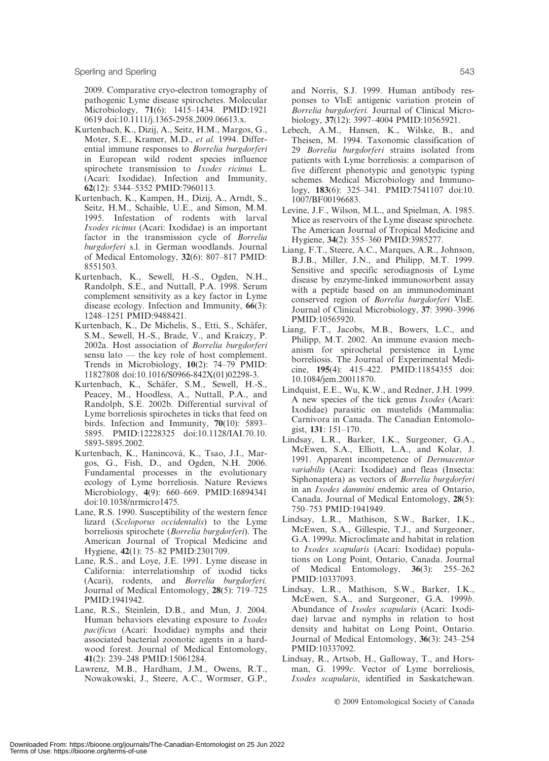2009. Comparative cryo-electron tomography of pathogenic Lyme disease spirochetes. Molecular Microbiology, 71(6): 1415–1434. PMID:1921 0619 doi:10.1111/j.1365-2958.2009.06613.x.

- Kurtenbach, K., Dizij, A., Seitz, H.M., Margos, G., Moter, S.E., Kramer, M.D., et al. 1994. Differential immune responses to Borrelia burgdorferi in European wild rodent species influence spirochete transmission to Ixodes ricinus L. (Acari: Ixodidae). Infection and Immunity, 62(12): 5344–5352 PMID:7960113.
- Kurtenbach, K., Kampen, H., Dizij, A., Arndt, S., Seitz, H.M., Schaible, U.E., and Simon, M.M. 1995. Infestation of rodents with larval Ixodes ricinus (Acari: Ixodidae) is an important factor in the transmission cycle of Borrelia burgdorferi s.l. in German woodlands. Journal of Medical Entomology, 32(6): 807–817 PMID: 8551503.
- Kurtenbach, K., Sewell, H.-S., Ogden, N.H., Randolph, S.E., and Nuttall, P.A. 1998. Serum complement sensitivity as a key factor in Lyme disease ecology. Infection and Immunity, 66(3): 1248–1251 PMID:9488421.
- Kurtenbach, K., De Michelis, S., Etti, S., Schäfer, S.M., Sewell, H.-S., Brade, V., and Kraiczy, P. 2002a. Host association of Borrelia burgdorferi sensu lato — the key role of host complement. Trends in Microbiology, 10(2): 74–79 PMID: 11827808 doi:10.1016/S0966-842X(01)02298-3.
- Kurtenbach, K., Schäfer, S.M., Sewell, H.-S., Peacey, M., Hoodless, A., Nuttall, P.A., and Randolph, S.E. 2002b. Differential survival of Lyme borreliosis spirochetes in ticks that feed on birds. Infection and Immunity, 70(10): 5893– 5895. PMID:12228325 doi:10.1128/IAI.70.10. 5893-5895.2002.
- Kurtenbach, K., Hanincová, K., Tsao, J.I., Margos, G., Fish, D., and Ogden, N.H. 2006. Fundamental processes in the evolutionary ecology of Lyme borreliosis. Nature Reviews Microbiology, 4(9): 660–669. PMID:16894341 doi:10.1038/nrmicro1475.
- Lane, R.S. 1990. Susceptibility of the western fence lizard (Sceloporus occidentalis) to the Lyme borreliosis spirochete (Borrelia burgdorferi). The American Journal of Tropical Medicine and Hygiene, 42(1): 75–82 PMID:2301709.
- Lane, R.S., and Loye, J.E. 1991. Lyme disease in California: interrelationship of ixodid ticks (Acari), rodents, and Borrelia burgdorferi. Journal of Medical Entomology, 28(5): 719–725 PMID:1941942.
- Lane, R.S., Steinlein, D.B., and Mun, J. 2004. Human behaviors elevating exposure to *Ixodes* pacificus (Acari: Ixodidae) nymphs and their associated bacterial zoonotic agents in a hardwood forest. Journal of Medical Entomology, 41(2): 239–248 PMID:15061284.
- Lawrenz, M.B., Hardham, J.M., Owens, R.T., Nowakowski, J., Steere, A.C., Wormser, G.P.,

and Norris, S.J. 1999. Human antibody responses to VlsE antigenic variation protein of Borrelia burgdorferi. Journal of Clinical Microbiology, 37(12): 3997–4004 PMID:10565921.

- Lebech, A.M., Hansen, K., Wilske, B., and Theisen, M. 1994. Taxonomic classification of 29 Borrelia burgdorferi strains isolated from patients with Lyme borreliosis: a comparison of five different phenotypic and genotypic typing schemes. Medical Microbiology and Immunology, 183(6): 325–341. PMID:7541107 doi:10. 1007/BF00196683.
- Levine, J.F., Wilson, M.L., and Spielman, A. 1985. Mice as reservoirs of the Lyme disease spirochete. The American Journal of Tropical Medicine and Hygiene, 34(2): 355–360 PMID:3985277.
- Liang, F.T., Steere, A.C., Marques, A.R., Johnson, B.J.B., Miller, J.N., and Philipp, M.T. 1999. Sensitive and specific serodiagnosis of Lyme disease by enzyme-linked immunosorbent assay with a peptide based on an immunodominant conserved region of Borrelia burgdorferi VlsE. Journal of Clinical Microbiology, 37: 3990–3996 PMID:10565920.
- Liang, F.T., Jacobs, M.B., Bowers, L.C., and Philipp, M.T. 2002. An immune evasion mechanism for spirochetal persistence in Lyme borreliosis. The Journal of Experimental Medicine, 195(4): 415–422. PMID:11854355 doi: 10.1084/jem.20011870.
- Lindquist, E.E., Wu, K.W., and Redner, J.H. 1999. A new species of the tick genus Ixodes (Acari: Ixodidae) parasitic on mustelids (Mammalia: Carnivora in Canada. The Canadian Entomologist, 131: 151–170.
- Lindsay, L.R., Barker, I.K., Surgeoner, G.A., McEwen, S.A., Elliott, L.A., and Kolar, J. 1991. Apparent incompetence of Dermacentor variabilis (Acari: Ixodidae) and fleas (Insecta: Siphonaptera) as vectors of Borrelia burgdorferi in an Ixodes dammini endemic area of Ontario, Canada. Journal of Medical Entomology, 28(5): 750–753 PMID:1941949.
- Lindsay, L.R., Mathison, S.W., Barker, I.K., McEwen, S.A., Gillespie, T.J., and Surgeoner, G.A. 1999a. Microclimate and habitat in relation to Ixodes scapularis (Acari: Ixodidae) populations on Long Point, Ontario, Canada. Journal of Medical Entomology, 36(3): 255–262 PMID:10337093.
- Lindsay, L.R., Mathison, S.W., Barker, I.K., McEwen, S.A., and Surgeoner, G.A. 1999b. Abundance of Ixodes scapularis (Acari: Ixodidae) larvae and nymphs in relation to host density and habitat on Long Point, Ontario. Journal of Medical Entomology, 36(3): 243–254 PMID:10337092.
- Lindsay, R., Artsob, H., Galloway, T., and Horsman, G. 1999c. Vector of Lyme borreliosis, Ixodes scapularis, identified in Saskatchewan.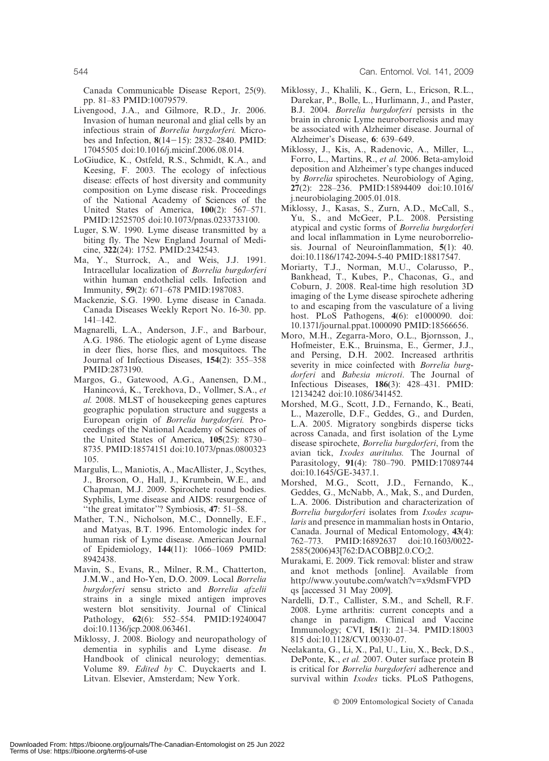Canada Communicable Disease Report, 25(9). pp. 81–83 PMID:10079579.

- Livengood, J.A., and Gilmore, R.D., Jr. 2006. Invasion of human neuronal and glial cells by an infectious strain of Borrelia burgdorferi. Microbes and Infection,  $8(14-15)$ : 2832–2840. PMID: 17045505 doi:10.1016/j.micinf.2006.08.014.
- LoGiudice, K., Ostfeld, R.S., Schmidt, K.A., and Keesing, F. 2003. The ecology of infectious disease: effects of host diversity and community composition on Lyme disease risk. Proceedings of the National Academy of Sciences of the United States of America, 100(2): 567–571. PMID:12525705 doi:10.1073/pnas.0233733100.
- Luger, S.W. 1990. Lyme disease transmitted by a biting fly. The New England Journal of Medicine, 322(24): 1752. PMID:2342543.
- Ma, Y., Sturrock, A., and Weis, J.J. 1991. Intracellular localization of Borrelia burgdorferi within human endothelial cells. Infection and Immunity, 59(2): 671–678 PMID:1987083.
- Mackenzie, S.G. 1990. Lyme disease in Canada. Canada Diseases Weekly Report No. 16-30. pp. 141–142.
- Magnarelli, L.A., Anderson, J.F., and Barbour, A.G. 1986. The etiologic agent of Lyme disease in deer flies, horse flies, and mosquitoes. The Journal of Infectious Diseases, 154(2): 355–358 PMID:2873190.
- Margos, G., Gatewood, A.G., Aanensen, D.M., Hanincová, K., Terekhova, D., Vollmer, S.A., et al. 2008. MLST of housekeeping genes captures geographic population structure and suggests a European origin of Borrelia burgdorferi. Proceedings of the National Academy of Sciences of the United States of America, 105(25): 8730– 8735. PMID:18574151 doi:10.1073/pnas.0800323 105.
- Margulis, L., Maniotis, A., MacAllister, J., Scythes, J., Brorson, O., Hall, J., Krumbein, W.E., and Chapman, M.J. 2009. Spirochete round bodies. Syphilis, Lyme disease and AIDS: resurgence of "the great imitator"? Symbiosis, 47: 51-58.
- Mather, T.N., Nicholson, M.C., Donnelly, E.F., and Matyas, B.T. 1996. Entomologic index for human risk of Lyme disease. American Journal of Epidemiology, 144(11): 1066–1069 PMID: 8942438.
- Mavin, S., Evans, R., Milner, R.M., Chatterton, J.M.W., and Ho-Yen, D.O. 2009. Local Borrelia burgdorferi sensu stricto and Borrelia afzelii strains in a single mixed antigen improves western blot sensitivity. Journal of Clinical Pathology, 62(6): 552–554. PMID:19240047 doi:10.1136/jcp.2008.063461.
- Miklossy, J. 2008. Biology and neuropathology of dementia in syphilis and Lyme disease. In Handbook of clinical neurology; dementias. Volume 89. Edited by C. Duyckaerts and I. Litvan. Elsevier, Amsterdam; New York.
- Miklossy, J., Khalili, K., Gern, L., Ericson, R.L., Darekar, P., Bolle, L., Hurlimann, J., and Paster, B.J. 2004. Borrelia burgdorferi persists in the brain in chronic Lyme neuroborreliosis and may be associated with Alzheimer disease. Journal of Alzheimer's Disease, 6: 639–649.
- Miklossy, J., Kis, A., Radenovic, A., Miller, L., Forro, L., Martins, R., et al. 2006. Beta-amyloid deposition and Alzheimer's type changes induced by Borrelia spirochetes. Neurobiology of Aging, 27(2): 228–236. PMID:15894409 doi:10.1016/ j.neurobiolaging.2005.01.018.
- Miklossy, J., Kasas, S., Zurn, A.D., McCall, S., Yu, S., and McGeer, P.L. 2008. Persisting atypical and cystic forms of Borrelia burgdorferi and local inflammation in Lyme neuroborreliosis. Journal of Neuroinflammation, 5(1): 40. doi:10.1186/1742-2094-5-40 PMID:18817547.
- Moriarty, T.J., Norman, M.U., Colarusso, P., Bankhead, T., Kubes, P., Chaconas, G., and Coburn, J. 2008. Real-time high resolution 3D imaging of the Lyme disease spirochete adhering to and escaping from the vasculature of a living host. PLoS Pathogens, 4(6): e1000090. doi: 10.1371/journal.ppat.1000090 PMID:18566656.
- Moro, M.H., Zegarra-Moro, O.L., Bjornsson, J., Hofmeister, E.K., Bruinsma, E., Germer, J.J., and Persing, D.H. 2002. Increased arthritis severity in mice coinfected with Borrelia burgdorferi and Babesia microti. The Journal of Infectious Diseases, 186(3): 428–431. PMID: 12134242 doi:10.1086/341452.
- Morshed, M.G., Scott, J.D., Fernando, K., Beati, L., Mazerolle, D.F., Geddes, G., and Durden, L.A. 2005. Migratory songbirds disperse ticks across Canada, and first isolation of the Lyme disease spirochete, Borrelia burgdorferi, from the avian tick, Ixodes auritulus. The Journal of Parasitology, 91(4): 780–790. PMID:17089744 doi:10.1645/GE-3437.1.
- Morshed, M.G., Scott, J.D., Fernando, K., Geddes, G., McNabb, A., Mak, S., and Durden, L.A. 2006. Distribution and characterization of Borrelia burgdorferi isolates from Ixodes scapularis and presence in mammalian hosts in Ontario, Canada. Journal of Medical Entomology, 43(4): 762–773. PMID:16892637 doi:10.1603/0022- 2585(2006)43[762:DACOBB]2.0.CO;2.
- Murakami, E. 2009. Tick removal: blister and straw and knot methods [online]. Available from http://www.youtube.com/watch?v=x9dsmFVPD qs [accessed 31 May 2009].
- Nardelli, D.T., Callister, S.M., and Schell, R.F. 2008. Lyme arthritis: current concepts and a change in paradigm. Clinical and Vaccine Immunology; CVI, 15(1): 21–34. PMID:18003 815 doi:10.1128/CVI.00330-07.
- Neelakanta, G., Li, X., Pal, U., Liu, X., Beck, D.S., DePonte, K., et al. 2007. Outer surface protein B is critical for Borrelia burgdorferi adherence and survival within *Ixodes* ticks. PLoS Pathogens,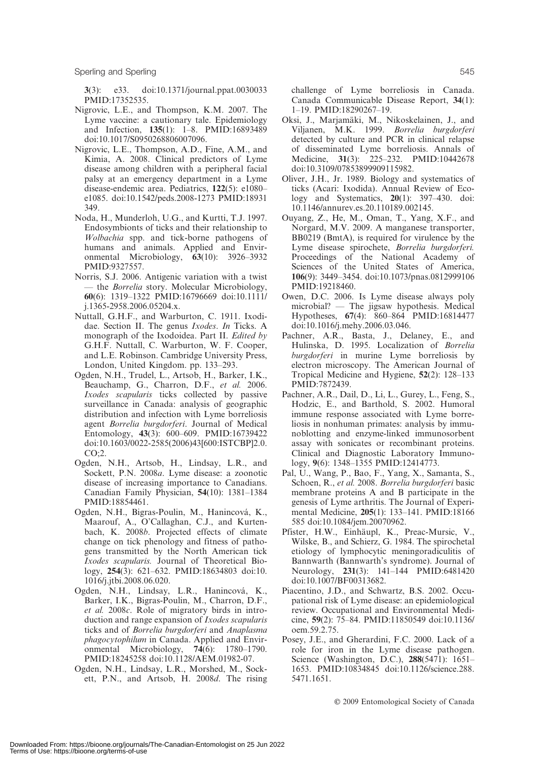Sperling and Sperling 545

3(3): e33. doi:10.1371/journal.ppat.0030033 PMID:17352535.

- Nigrovic, L.E., and Thompson, K.M. 2007. The Lyme vaccine: a cautionary tale. Epidemiology and Infection, 135(1): 1–8. PMID:16893489 doi:10.1017/S0950268806007096.
- Nigrovic, L.E., Thompson, A.D., Fine, A.M., and Kimia, A. 2008. Clinical predictors of Lyme disease among children with a peripheral facial palsy at an emergency department in a Lyme disease-endemic area. Pediatrics, 122(5): e1080– e1085. doi:10.1542/peds.2008-1273 PMID:18931 349.
- Noda, H., Munderloh, U.G., and Kurtti, T.J. 1997. Endosymbionts of ticks and their relationship to Wolbachia spp. and tick-borne pathogens of humans and animals. Applied and Environmental Microbiology, 63(10): 3926–3932 PMID:9327557.
- Norris, S.J. 2006. Antigenic variation with a twist — the *Borrelia* story. Molecular Microbiology, 60(6): 1319–1322 PMID:16796669 doi:10.1111/ j.1365-2958.2006.05204.x.
- Nuttall, G.H.F., and Warburton, C. 1911. Ixodidae. Section II. The genus Ixodes. In Ticks. A monograph of the Ixodoidea. Part II. Edited by G.H.F. Nuttall, C. Warburton, W. F. Cooper, and L.E. Robinson. Cambridge University Press, London, United Kingdom. pp. 133–293.
- Ogden, N.H., Trudel, L., Artsob, H., Barker, I.K., Beauchamp, G., Charron, D.F., et al. 2006. Ixodes scapularis ticks collected by passive surveillance in Canada: analysis of geographic distribution and infection with Lyme borreliosis agent Borrelia burgdorferi. Journal of Medical Entomology, 43(3): 600–609. PMID:16739422 doi:10.1603/0022-2585(2006)43[600:ISTCBP]2.0. CO;2.
- Ogden, N.H., Artsob, H., Lindsay, L.R., and Sockett, P.N. 2008a. Lyme disease: a zoonotic disease of increasing importance to Canadians. Canadian Family Physician, 54(10): 1381–1384 PMID:18854461.
- Ogden, N.H., Bigras-Poulin, M., Hanincová, K., Maarouf, A., O'Callaghan, C.J., and Kurtenbach, K. 2008b. Projected effects of climate change on tick phenology and fitness of pathogens transmitted by the North American tick Ixodes scapularis. Journal of Theoretical Biology, 254(3): 621–632. PMID:18634803 doi:10. 1016/j.jtbi.2008.06.020.
- Ogden, N.H., Lindsay, L.R., Hanincová, K., Barker, I.K., Bigras-Poulin, M., Charron, D.F., et al. 2008c. Role of migratory birds in introduction and range expansion of Ixodes scapularis ticks and of Borrelia burgdorferi and Anaplasma phagocytophilum in Canada. Applied and Environmental Microbiology, 74(6): 1780–1790. PMID:18245258 doi:10.1128/AEM.01982-07.
- Ogden, N.H., Lindsay, L.R., Morshed, M., Sockett, P.N., and Artsob, H. 2008d. The rising

challenge of Lyme borreliosis in Canada. Canada Communicable Disease Report, 34(1): 1–19. PMID:18290267–19.

- Oksi, J., Marjamäki, M., Nikoskelainen, J., and Viljanen, M.K. 1999. Borrelia burgdorferi detected by culture and PCR in clinical relapse of disseminated Lyme borreliosis. Annals of Medicine, 31(3): 225–232. PMID:10442678 doi:10.3109/07853899909115982.
- Oliver, J.H., Jr. 1989. Biology and systematics of ticks (Acari: Ixodida). Annual Review of Ecology and Systematics, 20(1): 397–430. doi: 10.1146/annurev.es.20.110189.002145.
- Ouyang, Z., He, M., Oman, T., Yang, X.F., and Norgard, M.V. 2009. A manganese transporter, BB0219 (BmtA), is required for virulence by the Lyme disease spirochete, Borrelia burgdorferi. Proceedings of the National Academy of Sciences of the United States of America, 106(9): 3449–3454. doi:10.1073/pnas.0812999106 PMID:19218460.
- Owen, D.C. 2006. Is Lyme disease always poly microbial? — The jigsaw hypothesis. Medical Hypotheses, 67(4): 860–864 PMID:16814477 doi:10.1016/j.mehy.2006.03.046.
- Pachner, A.R., Basta, J., Delaney, E., and Hulinska, D. 1995. Localization of Borrelia burgdorferi in murine Lyme borreliosis by electron microscopy. The American Journal of Tropical Medicine and Hygiene, 52(2): 128–133 PMID:7872439.
- Pachner, A.R., Dail, D., Li, L., Gurey, L., Feng, S., Hodzic, E., and Barthold, S. 2002. Humoral immune response associated with Lyme borreliosis in nonhuman primates: analysis by immunoblotting and enzyme-linked immunosorbent assay with sonicates or recombinant proteins. Clinical and Diagnostic Laboratory Immunology, 9(6): 1348–1355 PMID:12414773.
- Pal, U., Wang, P., Bao, F., Yang, X., Samanta, S., Schoen, R., et al. 2008. Borrelia burgdorferi basic membrane proteins A and B participate in the genesis of Lyme arthritis. The Journal of Experimental Medicine, 205(1): 133–141. PMID:18166 585 doi:10.1084/jem.20070962.
- Pfister, H.W., Einhäupl, K., Preac-Mursic, V., Wilske, B., and Schierz, G. 1984. The spirochetal etiology of lymphocytic meningoradiculitis of Bannwarth (Bannwarth's syndrome). Journal of Neurology, 231(3): 141–144 PMID:6481420 doi:10.1007/BF00313682.
- Piacentino, J.D., and Schwartz, B.S. 2002. Occupational risk of Lyme disease: an epidemiological review. Occupational and Environmental Medicine, 59(2): 75–84. PMID:11850549 doi:10.1136/ oem.59.2.75.
- Posey, J.E., and Gherardini, F.C. 2000. Lack of a role for iron in the Lyme disease pathogen. Science (Washington, D.C.), 288(5471): 1651– 1653. PMID:10834845 doi:10.1126/science.288. 5471.1651.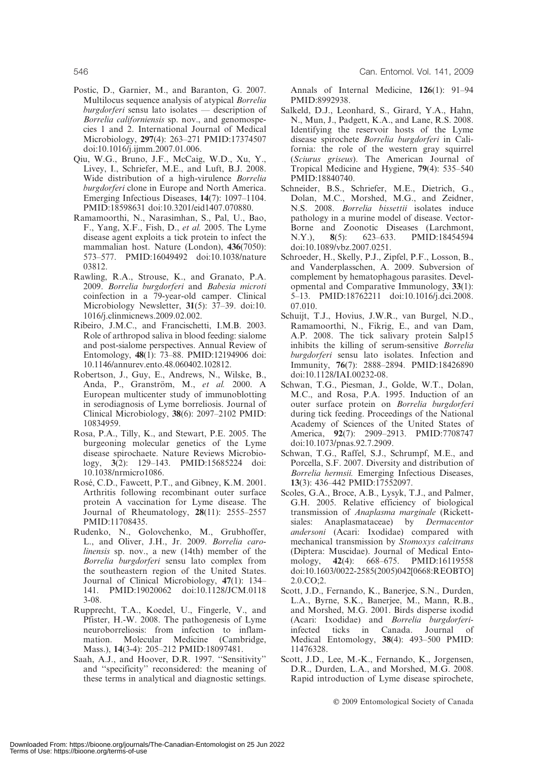- Postic, D., Garnier, M., and Baranton, G. 2007. Multilocus sequence analysis of atypical Borrelia burgdorferi sensu lato isolates — description of Borrelia californiensis sp. nov., and genomospecies 1 and 2. International Journal of Medical Microbiology, 297(4): 263–271 PMID:17374507 doi:10.1016/j.ijmm.2007.01.006.
- Qiu, W.G., Bruno, J.F., McCaig, W.D., Xu, Y., Livey, I., Schriefer, M.E., and Luft, B.J. 2008. Wide distribution of a high-virulence Borrelia burgdorferi clone in Europe and North America. Emerging Infectious Diseases, 14(7): 1097–1104. PMID:18598631 doi:10.3201/eid1407.070880.
- Ramamoorthi, N., Narasimhan, S., Pal, U., Bao, F., Yang, X.F., Fish, D., et al. 2005. The Lyme disease agent exploits a tick protein to infect the mammalian host. Nature (London), 436(7050): 573–577. PMID:16049492 doi:10.1038/nature 03812.
- Rawling, R.A., Strouse, K., and Granato, P.A. 2009. Borrelia burgdorferi and Babesia microti coinfection in a 79-year-old camper. Clinical Microbiology Newsletter, 31(5): 37–39. doi:10. 1016/j.clinmicnews.2009.02.002.
- Ribeiro, J.M.C., and Francischetti, I.M.B. 2003. Role of arthropod saliva in blood feeding: sialome and post-sialome perspectives. Annual Review of Entomology, 48(1): 73–88. PMID:12194906 doi: 10.1146/annurev.ento.48.060402.102812.
- Robertson, J., Guy, E., Andrews, N., Wilske, B., Anda, P., Granström, M., et al. 2000. A European multicenter study of immunoblotting in serodiagnosis of Lyme borreliosis. Journal of Clinical Microbiology, 38(6): 2097–2102 PMID: 10834959.
- Rosa, P.A., Tilly, K., and Stewart, P.E. 2005. The burgeoning molecular genetics of the Lyme disease spirochaete. Nature Reviews Microbiology, 3(2): 129–143. PMID:15685224 doi: 10.1038/nrmicro1086.
- Rosé, C.D., Fawcett, P.T., and Gibney, K.M. 2001. Arthritis following recombinant outer surface protein A vaccination for Lyme disease. The Journal of Rheumatology, 28(11): 2555–2557 PMID:11708435.
- Rudenko, N., Golovchenko, M., Grubhoffer, L., and Oliver, J.H., Jr. 2009. Borrelia carolinensis sp. nov., a new (14th) member of the Borrelia burgdorferi sensu lato complex from the southeastern region of the United States. Journal of Clinical Microbiology, 47(1): 134– 141. PMID:19020062 doi:10.1128/JCM.0118 3-08.
- Rupprecht, T.A., Koedel, U., Fingerle, V., and Pfister, H.-W. 2008. The pathogenesis of Lyme neuroborreliosis: from infection to inflammation. Molecular Medicine (Cambridge, Mass.), 14(3-4): 205–212 PMID:18097481.
- Saah, A.J., and Hoover, D.R. 1997. ''Sensitivity'' and ''specificity'' reconsidered: the meaning of these terms in analytical and diagnostic settings.

Annals of Internal Medicine, 126(1): 91–94 PMID:8992938.

- Salkeld, D.J., Leonhard, S., Girard, Y.A., Hahn, N., Mun, J., Padgett, K.A., and Lane, R.S. 2008. Identifying the reservoir hosts of the Lyme disease spirochete Borrelia burgdorferi in California: the role of the western gray squirrel (Sciurus griseus). The American Journal of Tropical Medicine and Hygiene, 79(4): 535–540 PMID:18840740.
- Schneider, B.S., Schriefer, M.E., Dietrich, G., Dolan, M.C., Morshed, M.G., and Zeidner, N.S. 2008. Borrelia bissettii isolates induce pathology in a murine model of disease. Vector-Borne and Zoonotic Diseases (Larchmont, N.Y.), 8(5): 623–633. PMID:18454594 doi:10.1089/vbz.2007.0251.
- Schroeder, H., Skelly, P.J., Zipfel, P.F., Losson, B., and Vanderplasschen, A. 2009. Subversion of complement by hematophagous parasites. Developmental and Comparative Immunology, 33(1): 5–13. PMID:18762211 doi:10.1016/j.dci.2008. 07.010.
- Schuijt, T.J., Hovius, J.W.R., van Burgel, N.D., Ramamoorthi, N., Fikrig, E., and van Dam, A.P. 2008. The tick salivary protein Salp15 inhibits the killing of serum-sensitive Borrelia burgdorferi sensu lato isolates. Infection and Immunity, 76(7): 2888–2894. PMID:18426890 doi:10.1128/IAI.00232-08.
- Schwan, T.G., Piesman, J., Golde, W.T., Dolan, M.C., and Rosa, P.A. 1995. Induction of an outer surface protein on Borrelia burgdorferi during tick feeding. Proceedings of the National Academy of Sciences of the United States of America, 92(7): 2909–2913. PMID:7708747 doi:10.1073/pnas.92.7.2909.
- Schwan, T.G., Raffel, S.J., Schrumpf, M.E., and Porcella, S.F. 2007. Diversity and distribution of Borrelia hermsii. Emerging Infectious Diseases, 13(3): 436–442 PMID:17552097.
- Scoles, G.A., Broce, A.B., Lysyk, T.J., and Palmer, G.H. 2005. Relative efficiency of biological transmission of Anaplasma marginale (Rickettsiales: Anaplasmataceae) by *Dermacentor* andersoni (Acari: Ixodidae) compared with mechanical transmission by Stomoxys calcitrans (Diptera: Muscidae). Journal of Medical Entomology, 42(4): 668–675. PMID:16119558 doi:10.1603/0022-2585(2005)042[0668:REOBTO] 2.0.CO;2.
- Scott, J.D., Fernando, K., Banerjee, S.N., Durden, L.A., Byrne, S.K., Banerjee, M., Mann, R.B., and Morshed, M.G. 2001. Birds disperse ixodid (Acari: Ixodidae) and Borrelia burgdorferiinfected ticks in Canada. Journal of Medical Entomology, 38(4): 493–500 PMID: 11476328.
- Scott, J.D., Lee, M.-K., Fernando, K., Jorgensen, D.R., Durden, L.A., and Morshed, M.G. 2008. Rapid introduction of Lyme disease spirochete,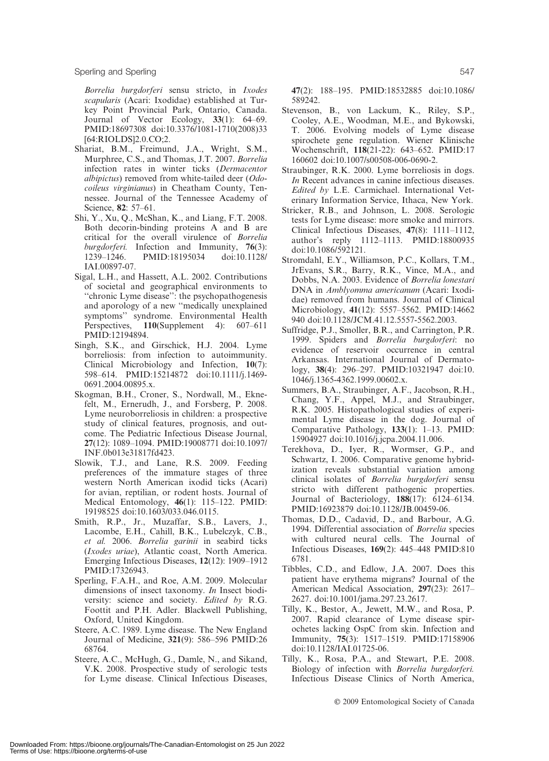Borrelia burgdorferi sensu stricto, in Ixodes scapularis (Acari: Ixodidae) established at Turkey Point Provincial Park, Ontario, Canada. Journal of Vector Ecology, 33(1): 64–69. PMID:18697308 doi:10.3376/1081-1710(2008)33 [64:RIOLDS]2.0.CO;2.

- Shariat, B.M., Freimund, J.A., Wright, S.M., Murphree, C.S., and Thomas, J.T. 2007. Borrelia infection rates in winter ticks (Dermacentor albipictus) removed from white-tailed deer (Odocoileus virginianus) in Cheatham County, Tennessee. Journal of the Tennessee Academy of Science, 82: 57–61.
- Shi, Y., Xu, Q., McShan, K., and Liang, F.T. 2008. Both decorin-binding proteins A and B are critical for the overall virulence of Borrelia burgdorferi. Infection and Immunity, 76(3):<br>1239–1246. PMID:18195034 doi:10.1128/ 1239–1246. PMID:18195034 IAI.00897-07.
- Sigal, L.H., and Hassett, A.L. 2002. Contributions of societal and geographical environments to ''chronic Lyme disease'': the psychopathogenesis and aporology of a new ''medically unexplained symptoms'' syndrome. Environmental Health Perspectives, 110(Supplement 4): 607–611 PMID:12194894.
- Singh, S.K., and Girschick, H.J. 2004. Lyme borreliosis: from infection to autoimmunity. Clinical Microbiology and Infection, 10(7): 598–614. PMID:15214872 doi:10.1111/j.1469- 0691.2004.00895.x.
- Skogman, B.H., Croner, S., Nordwall, M., Eknefelt, M., Ernerudh, J., and Forsberg, P. 2008. Lyme neuroborreliosis in children: a prospective study of clinical features, prognosis, and outcome. The Pediatric Infectious Disease Journal, 27(12): 1089–1094. PMID:19008771 doi:10.1097/ INF.0b013e31817fd423.
- Slowik, T.J., and Lane, R.S. 2009. Feeding preferences of the immature stages of three western North American ixodid ticks (Acari) for avian, reptilian, or rodent hosts. Journal of Medical Entomology, 46(1): 115–122. PMID: 19198525 doi:10.1603/033.046.0115.
- Smith, R.P., Jr., Muzaffar, S.B., Lavers, J., Lacombe, E.H., Cahill, B.K., Lubelczyk, C.B., et al. 2006. Borrelia garinii in seabird ticks (Ixodes uriae), Atlantic coast, North America. Emerging Infectious Diseases, 12(12): 1909–1912 PMID:17326943.
- Sperling, F.A.H., and Roe, A.M. 2009. Molecular dimensions of insect taxonomy. In Insect biodiversity: science and society. *Edited by* R.G. Foottit and P.H. Adler. Blackwell Publishing, Oxford, United Kingdom.
- Steere, A.C. 1989. Lyme disease. The New England Journal of Medicine, 321(9): 586–596 PMID:26 68764.
- Steere, A.C., McHugh, G., Damle, N., and Sikand, V.K. 2008. Prospective study of serologic tests for Lyme disease. Clinical Infectious Diseases,

47(2): 188–195. PMID:18532885 doi:10.1086/ 589242.

- Stevenson, B., von Lackum, K., Riley, S.P., Cooley, A.E., Woodman, M.E., and Bykowski, T. 2006. Evolving models of Lyme disease spirochete gene regulation. Wiener Klinische Wochenschrift, 118(21-22): 643–652. PMID:17 160602 doi:10.1007/s00508-006-0690-2.
- Straubinger, R.K. 2000. Lyme borreliosis in dogs. In Recent advances in canine infectious diseases. Edited by L.E. Carmichael. International Veterinary Information Service, Ithaca, New York.
- Stricker, R.B., and Johnson, L. 2008. Serologic tests for Lyme disease: more smoke and mirrors. Clinical Infectious Diseases, 47(8): 1111–1112, author's reply 1112–1113. PMID:18800935 doi:10.1086/592121.
- Stromdahl, E.Y., Williamson, P.C., Kollars, T.M., JrEvans, S.R., Barry, R.K., Vince, M.A., and Dobbs, N.A. 2003. Evidence of Borrelia lonestari DNA in Amblyomma americanum (Acari: Ixodidae) removed from humans. Journal of Clinical Microbiology, 41(12): 5557–5562. PMID:14662 940 doi:10.1128/JCM.41.12.5557-5562.2003.
- Suffridge, P.J., Smoller, B.R., and Carrington, P.R. 1999. Spiders and Borrelia burgdorferi: no evidence of reservoir occurrence in central Arkansas. International Journal of Dermatology, 38(4): 296–297. PMID:10321947 doi:10. 1046/j.1365-4362.1999.00602.x.
- Summers, B.A., Straubinger, A.F., Jacobson, R.H., Chang, Y.F., Appel, M.J., and Straubinger, R.K. 2005. Histopathological studies of experimental Lyme disease in the dog. Journal of Comparative Pathology, 133(1): 1–13. PMID: 15904927 doi:10.1016/j.jcpa.2004.11.006.
- Terekhova, D., Iyer, R., Wormser, G.P., and Schwartz, I. 2006. Comparative genome hybridization reveals substantial variation among clinical isolates of Borrelia burgdorferi sensu stricto with different pathogenic properties. Journal of Bacteriology, 188(17): 6124–6134. PMID:16923879 doi:10.1128/JB.00459-06.
- Thomas, D.D., Cadavid, D., and Barbour, A.G. 1994. Differential association of Borrelia species with cultured neural cells. The Journal of Infectious Diseases, 169(2): 445–448 PMID:810 6781.
- Tibbles, C.D., and Edlow, J.A. 2007. Does this patient have erythema migrans? Journal of the American Medical Association, 297(23): 2617– 2627. doi:10.1001/jama.297.23.2617.
- Tilly, K., Bestor, A., Jewett, M.W., and Rosa, P. 2007. Rapid clearance of Lyme disease spirochetes lacking OspC from skin. Infection and Immunity, 75(3): 1517–1519. PMID:17158906 doi:10.1128/IAI.01725-06.
- Tilly, K., Rosa, P.A., and Stewart, P.E. 2008. Biology of infection with Borrelia burgdorferi. Infectious Disease Clinics of North America,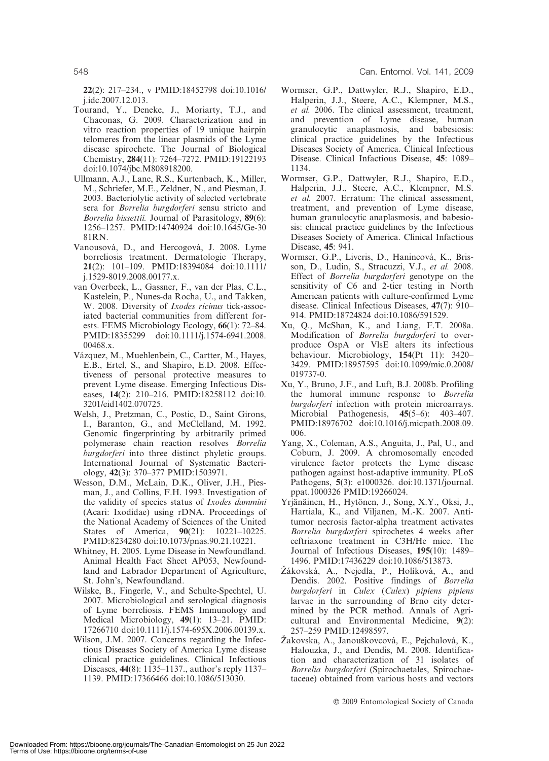22(2): 217–234., v PMID:18452798 doi:10.1016/ j.idc.2007.12.013.

- Tourand, Y., Deneke, J., Moriarty, T.J., and Chaconas, G. 2009. Characterization and in vitro reaction properties of 19 unique hairpin telomeres from the linear plasmids of the Lyme disease spirochete. The Journal of Biological Chemistry, 284(11): 7264–7272. PMID:19122193 doi:10.1074/jbc.M808918200.
- Ullmann, A.J., Lane, R.S., Kurtenbach, K., Miller, M., Schriefer, M.E., Zeldner, N., and Piesman, J. 2003. Bacteriolytic activity of selected vertebrate sera for Borrelia burgdorferi sensu stricto and Borrelia bissettii. Journal of Parasitology, 89(6): 1256–1257. PMID:14740924 doi:10.1645/Ge-30 81RN.
- Vanousová, D., and Hercogová, J. 2008. Lyme borreliosis treatment. Dermatologic Therapy, 21(2): 101–109. PMID:18394084 doi:10.1111/ j.1529-8019.2008.00177.x.
- van Overbeek, L., Gassner, F., van der Plas, C.L., Kastelein, P., Nunes-da Rocha, U., and Takken, W. 2008. Diversity of Ixodes ricinus tick-associated bacterial communities from different forests. FEMS Microbiology Ecology, 66(1): 72–84. PMID:18355299 doi:10.1111/j.1574-6941.2008. 00468.x.
- Vázquez, M., Muehlenbein, C., Cartter, M., Hayes, E.B., Ertel, S., and Shapiro, E.D. 2008. Effectiveness of personal protective measures to prevent Lyme disease. Emerging Infectious Diseases, 14(2): 210–216. PMID:18258112 doi:10. 3201/eid1402.070725.
- Welsh, J., Pretzman, C., Postic, D., Saint Girons, I., Baranton, G., and McClelland, M. 1992. Genomic fingerprinting by arbitrarily primed polymerase chain reaction resolves Borrelia burgdorferi into three distinct phyletic groups. International Journal of Systematic Bacteriology, 42(3): 370–377 PMID:1503971.
- Wesson, D.M., McLain, D.K., Oliver, J.H., Piesman, J., and Collins, F.H. 1993. Investigation of the validity of species status of Ixodes dammini (Acari: Ixodidae) using rDNA. Proceedings of the National Academy of Sciences of the United States of America, 90(21): 10221–10225. PMID:8234280 doi:10.1073/pnas.90.21.10221.
- Whitney, H. 2005. Lyme Disease in Newfoundland. Animal Health Fact Sheet AP053, Newfoundland and Labrador Department of Agriculture, St. John's, Newfoundland.
- Wilske, B., Fingerle, V., and Schulte-Spechtel, U. 2007. Microbiological and serological diagnosis of Lyme borreliosis. FEMS Immunology and Medical Microbiology, 49(1): 13–21. PMID: 17266710 doi:10.1111/j.1574-695X.2006.00139.x.
- Wilson, J.M. 2007. Concerns regarding the Infectious Diseases Society of America Lyme disease clinical practice guidelines. Clinical Infectious Diseases, 44(8): 1135–1137., author's reply 1137– 1139. PMID:17366466 doi:10.1086/513030.
- Wormser, G.P., Dattwyler, R.J., Shapiro, E.D., Halperin, J.J., Steere, A.C., Klempner, M.S., et al. 2006. The clinical assessment, treatment, and prevention of Lyme disease, human granulocytic anaplasmosis, and babesiosis: clinical practice guidelines by the Infectious Diseases Society of America. Clinical Infectious Disease. Clinical Infactious Disease, 45: 1089– 1134.
- Wormser, G.P., Dattwyler, R.J., Shapiro, E.D., Halperin, J.J., Steere, A.C., Klempner, M.S. et al. 2007. Erratum: The clinical assessment, treatment, and prevention of Lyme disease, human granulocytic anaplasmosis, and babesiosis: clinical practice guidelines by the Infectious Diseases Society of America. Clinical Infactious Disease, 45: 941.
- Wormser, G.P., Liveris, D., Hanincová, K., Brisson, D., Ludin, S., Stracuzzi, V.J., et al. 2008. Effect of Borrelia burgdorferi genotype on the sensitivity of C6 and 2-tier testing in North American patients with culture-confirmed Lyme disease. Clinical Infectious Diseases, 47(7): 910– 914. PMID:18724824 doi:10.1086/591529.
- Xu, Q., McShan, K., and Liang, F.T. 2008a. Modification of Borrelia burgdorferi to overproduce OspA or VlsE alters its infectious behaviour. Microbiology, 154(Pt 11): 3420– 3429. PMID:18957595 doi:10.1099/mic.0.2008/ 019737-0.
- Xu, Y., Bruno, J.F., and Luft, B.J. 2008b. Profiling the humoral immune response to Borrelia burgdorferi infection with protein microarrays. Microbial Pathogenesis, 45(5–6): 403–407. PMID:18976702 doi:10.1016/j.micpath.2008.09. 006.
- Yang, X., Coleman, A.S., Anguita, J., Pal, U., and Coburn, J. 2009. A chromosomally encoded virulence factor protects the Lyme disease pathogen against host-adaptive immunity. PLoS Pathogens, 5(3): e1000326. doi:10.1371/journal. ppat.1000326 PMID:19266024.
- Yrjänäinen, H., Hytönen, J., Song, X.Y., Oksi, J., Hartiala, K., and Viljanen, M.-K. 2007. Antitumor necrosis factor-alpha treatment activates Borrelia burgdorferi spirochetes 4 weeks after ceftriaxone treatment in C3H/He mice. The Journal of Infectious Diseases, 195(10): 1489– 1496. PMID:17436229 doi:10.1086/513873.
- Žákovská, A., Nejedla, P., Holíková, A., and Dendis. 2002. Positive findings of Borrelia burgdorferi in Culex (Culex) pipiens pipiens larvae in the surrounding of Brno city determined by the PCR method. Annals of Agricultural and Environmental Medicine, 9(2): 257–259 PMID:12498597.
- Žakovska, A., Janouškovcová, E., Pejchalová, K., Halouzka, J., and Dendis, M. 2008. Identification and characterization of 31 isolates of Borrelia burgdorferi (Spirochaetales, Spirochaetaceae) obtained from various hosts and vectors